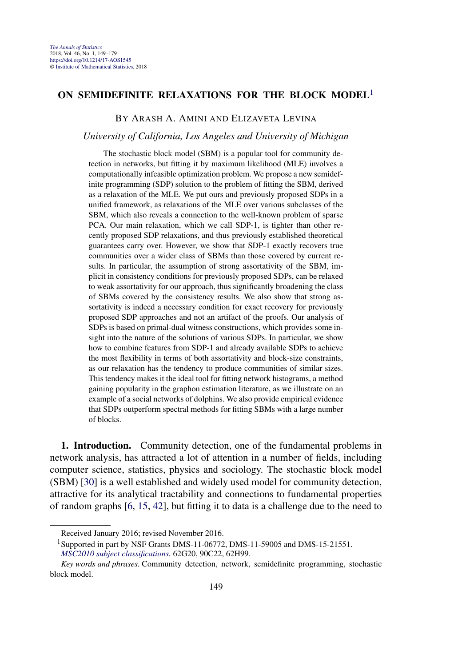# **ON SEMIDEFINITE RELAXATIONS FOR THE BLOCK MODEL**<sup>1</sup>

BY ARASH A. AMINI AND ELIZAVETA LEVINA

#### *University of California, Los Angeles and University of Michigan*

The stochastic block model (SBM) is a popular tool for community detection in networks, but fitting it by maximum likelihood (MLE) involves a computationally infeasible optimization problem. We propose a new semidefinite programming (SDP) solution to the problem of fitting the SBM, derived as a relaxation of the MLE. We put ours and previously proposed SDPs in a unified framework, as relaxations of the MLE over various subclasses of the SBM, which also reveals a connection to the well-known problem of sparse PCA. Our main relaxation, which we call SDP-1, is tighter than other recently proposed SDP relaxations, and thus previously established theoretical guarantees carry over. However, we show that SDP-1 exactly recovers true communities over a wider class of SBMs than those covered by current results. In particular, the assumption of strong assortativity of the SBM, implicit in consistency conditions for previously proposed SDPs, can be relaxed to weak assortativity for our approach, thus significantly broadening the class of SBMs covered by the consistency results. We also show that strong assortativity is indeed a necessary condition for exact recovery for previously proposed SDP approaches and not an artifact of the proofs. Our analysis of SDPs is based on primal-dual witness constructions, which provides some insight into the nature of the solutions of various SDPs. In particular, we show how to combine features from SDP-1 and already available SDPs to achieve the most flexibility in terms of both assortativity and block-size constraints, as our relaxation has the tendency to produce communities of similar sizes. This tendency makes it the ideal tool for fitting network histograms, a method gaining popularity in the graphon estimation literature, as we illustrate on an example of a social networks of dolphins. We also provide empirical evidence that SDPs outperform spectral methods for fitting SBMs with a large number of blocks.

**1. Introduction.** Community detection, one of the fundamental problems in network analysis, has attracted a lot of attention in a number of fields, including computer science, statistics, physics and sociology. The stochastic block model (SBM) [\[30\]](#page-29-0) is a well established and widely used model for community detection, attractive for its analytical tractability and connections to fundamental properties of random graphs [\[6,](#page-27-0) [15,](#page-28-0) [42\]](#page-29-0), but fitting it to data is a challenge due to the need to

Received January 2016; revised November 2016.

<sup>&</sup>lt;sup>1</sup>Supported in part by NSF Grants DMS-11-06772, DMS-11-59005 and DMS-15-21551.

*[MSC2010 subject classifications.](http://www.ams.org/mathscinet/msc/msc2010.html)* 62G20, 90C22, 62H99.

*Key words and phrases.* Community detection, network, semidefinite programming, stochastic block model.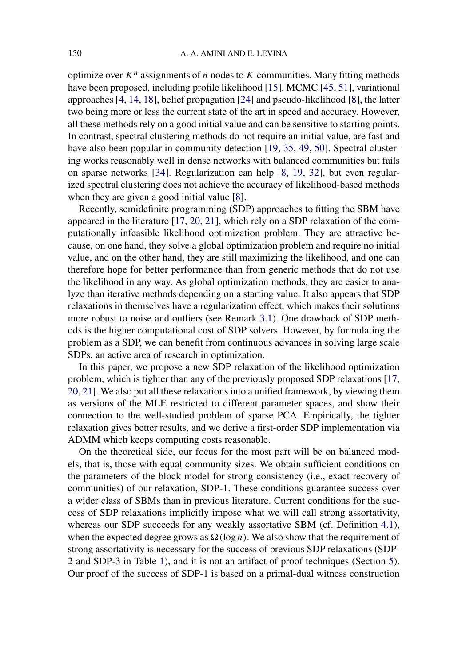optimize over  $K^n$  assignments of *n* nodes to  $K$  communities. Many fitting methods have been proposed, including profile likelihood [\[15\]](#page-28-0), MCMC [\[45,](#page-29-0) [51\]](#page-30-0), variational approaches [\[4,](#page-27-0) [14,](#page-28-0) [18\]](#page-28-0), belief propagation [\[24\]](#page-28-0) and pseudo-likelihood [\[8\]](#page-27-0), the latter two being more or less the current state of the art in speed and accuracy. However, all these methods rely on a good initial value and can be sensitive to starting points. In contrast, spectral clustering methods do not require an initial value, are fast and have also been popular in community detection [\[19,](#page-28-0) [35,](#page-29-0) [49,](#page-29-0) [50\]](#page-29-0). Spectral clustering works reasonably well in dense networks with balanced communities but fails on sparse networks [\[34\]](#page-29-0). Regularization can help [\[8,](#page-27-0) [19,](#page-28-0) [32\]](#page-29-0), but even regularized spectral clustering does not achieve the accuracy of likelihood-based methods when they are given a good initial value [\[8\]](#page-27-0).

Recently, semidefinite programming (SDP) approaches to fitting the SBM have appeared in the literature [\[17,](#page-28-0) [20,](#page-28-0) [21\]](#page-28-0), which rely on a SDP relaxation of the computationally infeasible likelihood optimization problem. They are attractive because, on one hand, they solve a global optimization problem and require no initial value, and on the other hand, they are still maximizing the likelihood, and one can therefore hope for better performance than from generic methods that do not use the likelihood in any way. As global optimization methods, they are easier to analyze than iterative methods depending on a starting value. It also appears that SDP relaxations in themselves have a regularization effect, which makes their solutions more robust to noise and outliers (see Remark [3.1\)](#page-7-0). One drawback of SDP methods is the higher computational cost of SDP solvers. However, by formulating the problem as a SDP, we can benefit from continuous advances in solving large scale SDPs, an active area of research in optimization.

In this paper, we propose a new SDP relaxation of the likelihood optimization problem, which is tighter than any of the previously proposed SDP relaxations [\[17,](#page-28-0) [20,](#page-28-0) [21\]](#page-28-0). We also put all these relaxations into a unified framework, by viewing them as versions of the MLE restricted to different parameter spaces, and show their connection to the well-studied problem of sparse PCA. Empirically, the tighter relaxation gives better results, and we derive a first-order SDP implementation via ADMM which keeps computing costs reasonable.

On the theoretical side, our focus for the most part will be on balanced models, that is, those with equal community sizes. We obtain sufficient conditions on the parameters of the block model for strong consistency (i.e., exact recovery of communities) of our relaxation, SDP-1. These conditions guarantee success over a wider class of SBMs than in previous literature. Current conditions for the success of SDP relaxations implicitly impose what we will call strong assortativity, whereas our SDP succeeds for any weakly assortative SBM (cf. Definition [4.1\)](#page-9-0), when the expected degree grows as  $\Omega(\log n)$ . We also show that the requirement of strong assortativity is necessary for the success of previous SDP relaxations (SDP-2 and SDP-3 in Table [1\)](#page-2-0), and it is not an artifact of proof techniques (Section [5\)](#page-16-0). Our proof of the success of SDP-1 is based on a primal-dual witness construction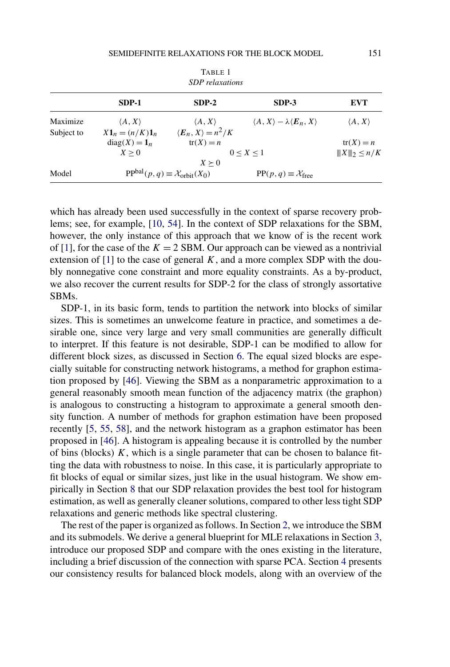<span id="page-2-0"></span>

| .<br><b>SDP</b> relaxations |                                     |                                                 |                                                         |                        |  |  |  |  |
|-----------------------------|-------------------------------------|-------------------------------------------------|---------------------------------------------------------|------------------------|--|--|--|--|
|                             | SDP-1                               | $SDP-2$                                         | $SDP-3$                                                 | EVT                    |  |  |  |  |
| Maximize                    | $\langle A, X \rangle$              | $\langle A, X \rangle$                          | $\langle A, X \rangle - \lambda \langle E_n, X \rangle$ | $\langle A, X \rangle$ |  |  |  |  |
| Subject to                  | $X\mathbf{1}_n = (n/K)\mathbf{1}_n$ | $\langle E_n, X \rangle = n^2/K$                |                                                         |                        |  |  |  |  |
|                             | $diag(X) = 1_n$                     | $tr(X) = n$                                     |                                                         | $tr(X) = n$            |  |  |  |  |
|                             | X > 0                               | 0 < X < 1                                       | $\parallel X \parallel_2 \leq n/K$                      |                        |  |  |  |  |
|                             |                                     | $X \geq 0$                                      |                                                         |                        |  |  |  |  |
| Model                       |                                     | $PP^{bal}(p,q) \equiv \mathcal{X}_{orbit}(X_0)$ | $PP(p,q) \equiv \mathcal{X}_{\text{free}}$              |                        |  |  |  |  |

TABLE 1

which has already been used successfully in the context of sparse recovery problems; see, for example, [\[10,](#page-28-0) [54\]](#page-30-0). In the context of SDP relaxations for the SBM, however, the only instance of this approach that we know of is the recent work of [\[1\]](#page-27-0), for the case of the  $K = 2$  SBM. Our approach can be viewed as a nontrivial extension of  $[1]$  to the case of general  $K$ , and a more complex SDP with the doubly nonnegative cone constraint and more equality constraints. As a by-product, we also recover the current results for SDP-2 for the class of strongly assortative SBMs.

SDP-1, in its basic form, tends to partition the network into blocks of similar sizes. This is sometimes an unwelcome feature in practice, and sometimes a desirable one, since very large and very small communities are generally difficult to interpret. If this feature is not desirable, SDP-1 can be modified to allow for different block sizes, as discussed in Section [6.](#page-18-0) The equal sized blocks are especially suitable for constructing network histograms, a method for graphon estimation proposed by [\[46\]](#page-29-0). Viewing the SBM as a nonparametric approximation to a general reasonably smooth mean function of the adjacency matrix (the graphon) is analogous to constructing a histogram to approximate a general smooth density function. A number of methods for graphon estimation have been proposed recently [\[5,](#page-27-0) [55,](#page-30-0) [58\]](#page-30-0), and the network histogram as a graphon estimator has been proposed in [\[46\]](#page-29-0). A histogram is appealing because it is controlled by the number of bins (blocks) *K*, which is a single parameter that can be chosen to balance fitting the data with robustness to noise. In this case, it is particularly appropriate to fit blocks of equal or similar sizes, just like in the usual histogram. We show empirically in Section [8](#page-21-0) that our SDP relaxation provides the best tool for histogram estimation, as well as generally cleaner solutions, compared to other less tight SDP relaxations and generic methods like spectral clustering.

The rest of the paper is organized as follows. In Section [2,](#page-3-0) we introduce the SBM and its submodels. We derive a general blueprint for MLE relaxations in Section [3,](#page-5-0) introduce our proposed SDP and compare with the ones existing in the literature, including a brief discussion of the connection with sparse PCA. Section [4](#page-8-0) presents our consistency results for balanced block models, along with an overview of the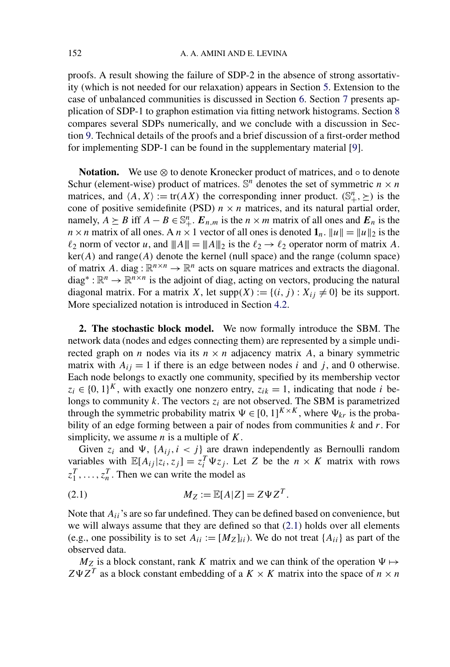<span id="page-3-0"></span>proofs. A result showing the failure of SDP-2 in the absence of strong assortativity (which is not needed for our relaxation) appears in Section [5.](#page-16-0) Extension to the case of unbalanced communities is discussed in Section [6.](#page-18-0) Section [7](#page-19-0) presents application of SDP-1 to graphon estimation via fitting network histograms. Section [8](#page-21-0) compares several SDPs numerically, and we conclude with a discussion in Section [9.](#page-23-0) Technical details of the proofs and a brief discussion of a first-order method for implementing SDP-1 can be found in the supplementary material [\[9\]](#page-28-0).

**Notation.** We use ⊗ to denote Kronecker product of matrices, and ∘ to denote Schur (element-wise) product of matrices.  $\mathbb{S}^n$  denotes the set of symmetric  $n \times n$ matrices, and  $\langle A, X \rangle := \text{tr}(AX)$  the corresponding inner product.  $(\mathbb{S}^n_+, \geq)$  is the cone of positive semidefinite (PSD)  $n \times n$  matrices, and its natural partial order, namely,  $A \succeq B$  iff  $A - B \in \mathbb{S}_{+}^{n}$ .  $E_{n,m}$  is the  $n \times m$  matrix of all ones and  $E_n$  is the  $n \times n$  matrix of all ones. A  $n \times 1$  vector of all ones is denoted  $\mathbf{1}_n$ .  $||u|| = ||u||_2$  is the  $\ell_2$  norm of vector *u*, and  $|| ||A|| = ||A|| ||_2$  is the  $\ell_2 \to \ell_2$  operator norm of matrix *A*. ker*(A)* and range*(A)* denote the kernel (null space) and the range (column space) of matrix *A*. diag :  $\mathbb{R}^{n \times n} \to \mathbb{R}^n$  acts on square matrices and extracts the diagonal. diag<sup>∗</sup> : R*<sup>n</sup>* → R*n*×*<sup>n</sup>* is the adjoint of diag, acting on vectors, producing the natural diagonal matrix. For a matrix *X*, let supp $(X) := \{(i, j) : X_{ij} \neq 0\}$  be its support. More specialized notation is introduced in Section [4.2.](#page-13-0)

**2. The stochastic block model.** We now formally introduce the SBM. The network data (nodes and edges connecting them) are represented by a simple undirected graph on *n* nodes via its  $n \times n$  adjacency matrix *A*, a binary symmetric matrix with  $A_{ij} = 1$  if there is an edge between nodes *i* and *j*, and 0 otherwise. Each node belongs to exactly one community, specified by its membership vector  $z_i \in \{0, 1\}^K$ , with exactly one nonzero entry,  $z_{ik} = 1$ , indicating that node *i* belongs to community  $k$ . The vectors  $z_i$  are not observed. The SBM is parametrized through the symmetric probability matrix  $\Psi \in [0, 1]^{K \times K}$ , where  $\Psi_{kr}$  is the probability of an edge forming between a pair of nodes from communities *k* and *r*. For simplicity, we assume *n* is a multiple of *K*.

Given  $z_i$  and  $\Psi$ ,  $\{A_{ij}, i < j\}$  are drawn independently as Bernoulli random variables with  $\mathbb{E}[A_{ij}|z_i, z_j] = z_i^T \Psi z_j$ . Let *Z* be the *n* × *K* matrix with rows  $z_1^T, \ldots, z_n^T$ . Then we can write the model as

$$
(2.1) \t\t M_Z := \mathbb{E}[A|Z] = Z \Psi Z^T.
$$

Note that *Aii*'s are so far undefined. They can be defined based on convenience, but we will always assume that they are defined so that (2.1) holds over all elements (e.g., one possibility is to set  $A_{ii} := [M_Z]_{ii}$ ). We do not treat  $\{A_{ii}\}$  as part of the observed data.

 $M_Z$  is a block constant, rank *K* matrix and we can think of the operation  $\Psi \mapsto$  $Z\Psi Z^T$  as a block constant embedding of a  $K \times K$  matrix into the space of  $n \times n$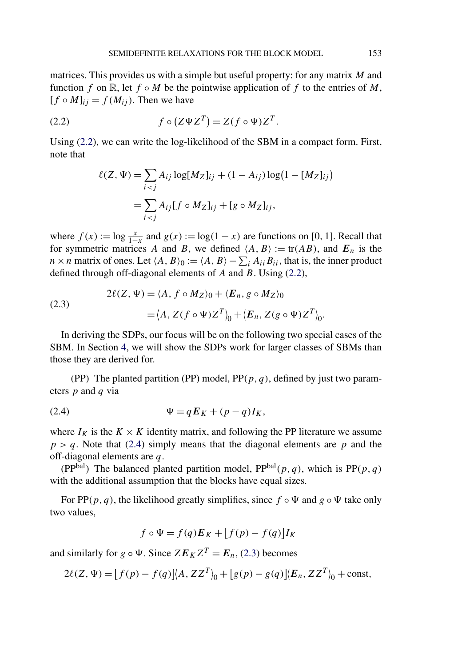matrices. This provides us with a simple but useful property: for any matrix *M* and function *f* on  $\mathbb{R}$ , let *f*  $\circ$  *M* be the pointwise application of *f* to the entries of *M*,  $[f \circ M]_{ij} = f(M_{ij})$ . Then we have

(2.2) 
$$
f \circ (Z \Psi Z^{T}) = Z(f \circ \Psi) Z^{T}.
$$

Using (2.2), we can write the log-likelihood of the SBM in a compact form. First, note that

$$
\ell(Z, \Psi) = \sum_{i < j} A_{ij} \log[M_Z]_{ij} + (1 - A_{ij}) \log(1 - [M_Z]_{ij})
$$
\n
$$
= \sum_{i < j} A_{ij} [f \circ M_Z]_{ij} + [g \circ M_Z]_{ij},
$$

where  $f(x) := \log \frac{x}{1-x}$  and  $g(x) := \log(1-x)$  are functions on [0, 1]. Recall that for symmetric matrices A and B, we defined  $\langle A, B \rangle := \text{tr}(AB)$ , and  $E_n$  is the *n* × *n* matrix of ones. Let  $\langle A, B \rangle_0 := \langle A, B \rangle - \sum_i A_{ii} B_{ii}$ , that is, the inner product defined through off-diagonal elements of *A* and *B*. Using (2.2),

(2.3)  
\n
$$
2\ell(Z, \Psi) = \langle A, f \circ M_Z \rangle_0 + \langle E_n, g \circ M_Z \rangle_0
$$
\n
$$
= \langle A, Z(f \circ \Psi) Z^T \rangle_0 + \langle E_n, Z(g \circ \Psi) Z^T \rangle_0.
$$

In deriving the SDPs, our focus will be on the following two special cases of the SBM. In Section [4,](#page-8-0) we will show the SDPs work for larger classes of SBMs than those they are derived for.

(PP) The planted partition (PP) model, PP*(p,q)*, defined by just two parameters *p* and *q* via

$$
(2.4) \t\t\t\Psi = qE_K + (p-q)I_K,
$$

where  $I_K$  is the  $K \times K$  identity matrix, and following the PP literature we assume  $p > q$ . Note that (2.4) simply means that the diagonal elements are *p* and the off-diagonal elements are *q*.

(PP<sup>bal</sup>) The balanced planted partition model,  $PP^{bal}(p,q)$ , which is  $PP(p,q)$ with the additional assumption that the blocks have equal sizes.

For PP(p, q), the likelihood greatly simplifies, since  $f \circ \Psi$  and  $g \circ \Psi$  take only two values,

$$
f \circ \Psi = f(q)E_K + [f(p) - f(q)]I_K
$$

and similarly for  $g \circ \Psi$ . Since  $ZE_K Z^T = E_n$ , (2.3) becomes

$$
2\ell(Z, \Psi) = [f(p) - f(q)](A, ZZ^T)_{0} + [g(p) - g(q)](E_n, ZZ^T)_{0} + \text{const},
$$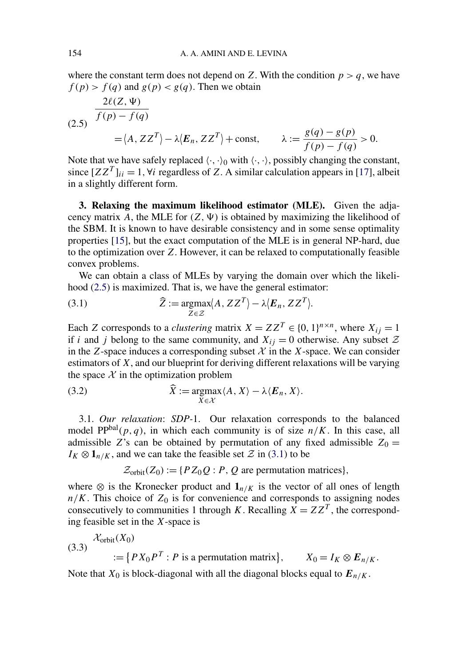<span id="page-5-0"></span>where the constant term does not depend on *Z*. With the condition  $p > q$ , we have  $f(p) > f(q)$  and  $g(p) < g(q)$ . Then we obtain

$$
\frac{2\ell(Z, \Psi)}{f(p) - f(q)}
$$
  
=  $\langle A, ZZ^T \rangle - \lambda \langle E_n, ZZ^T \rangle + \text{const}, \qquad \lambda := \frac{g(q) - g(p)}{f(p) - f(q)} > 0.$ 

Note that we have safely replaced  $\langle \cdot, \cdot \rangle_0$  with  $\langle \cdot, \cdot \rangle$ , possibly changing the constant, since  $[ZZ^T]_{ii} = 1$ ,  $\forall i$  regardless of *Z*. A similar calculation appears in [\[17\]](#page-28-0), albeit in a slightly different form.

**3. Relaxing the maximum likelihood estimator (MLE).** Given the adjacency matrix A, the MLE for  $(Z, \Psi)$  is obtained by maximizing the likelihood of the SBM. It is known to have desirable consistency and in some sense optimality properties [\[15\]](#page-28-0), but the exact computation of the MLE is in general NP-hard, due to the optimization over *Z*. However, it can be relaxed to computationally feasible convex problems.

We can obtain a class of MLEs by varying the domain over which the likelihood (2.5) is maximized. That is, we have the general estimator:

(3.1) 
$$
\widehat{Z} := \underset{Z \in \mathcal{Z}}{\operatorname{argmax}} \langle A, ZZ^T \rangle - \lambda \langle E_n, ZZ^T \rangle.
$$

Each *Z* corresponds to a *clustering* matrix  $X = ZZ^T \in \{0, 1\}^{n \times n}$ , where  $X_{ij} = 1$ if *i* and *j* belong to the same community, and  $X_{ij} = 0$  otherwise. Any subset  $\mathcal{Z}$ in the *Z*-space induces a corresponding subset  $X$  in the *X*-space. We can consider estimators of *X*, and our blueprint for deriving different relaxations will be varying the space  $X$  in the optimization problem

(3.2) 
$$
\widehat{X} := \operatorname*{argmax}_{X \in \mathcal{X}} \langle A, X \rangle - \lambda \langle E_n, X \rangle.
$$

3.1. *Our relaxation*: *SDP-*1. Our relaxation corresponds to the balanced model PP<sup>bal</sup> $(p, q)$ , in which each community is of size  $n/K$ . In this case, all admissible *Z*'s can be obtained by permutation of any fixed admissible  $Z_0 =$  $I_K \otimes \mathbf{1}_{n/K}$ , and we can take the feasible set  $\mathcal{Z}$  in (3.1) to be

$$
\mathcal{Z}_{\text{orbit}}(Z_0) := \{ P Z_0 Q : P, Q \text{ are permutation matrices} \},
$$

where  $\otimes$  is the Kronecker product and  $\mathbf{1}_{n/K}$  is the vector of all ones of length  $n/K$ . This choice of  $Z_0$  is for convenience and corresponds to assigning nodes consecutively to communities 1 through *K*. Recalling  $\overline{X} = ZZ^T$ , the corresponding feasible set in the *X*-space is

(3.3) 
$$
{}^{X_{\text{orbit}}(X_0)} := \{PX_0P^T : P \text{ is a permutation matrix}\}, \qquad X_0 = I_K \otimes E_{n/K}.
$$

Note that  $X_0$  is block-diagonal with all the diagonal blocks equal to  $E_{n/K}$ .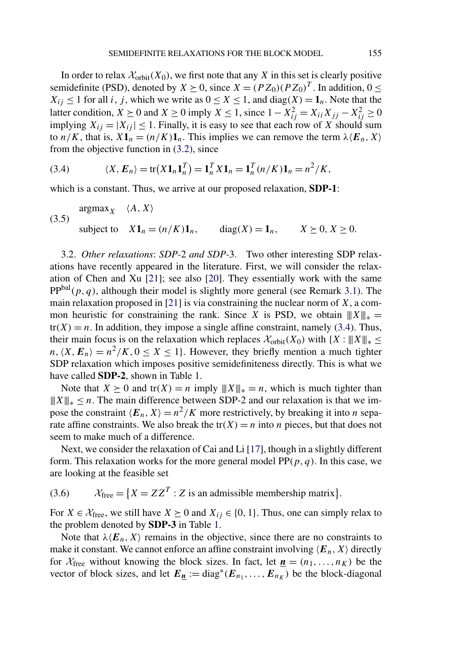In order to relax  $\mathcal{X}_{\text{orbit}}(X_0)$ , we first note that any X in this set is clearly positive semidefinite (PSD), denoted by  $X \succeq 0$ , since  $X = (PZ_0)(PZ_0)^T$ . In addition,  $0 \le$  $X_{ij} \leq 1$  for all *i*, *j*, which we write as  $0 \leq X \leq 1$ , and diag $(X) = 1$ <sub>*n*</sub>. Note that the latter condition, *X* ≥ 0 and *X* ≥ 0 imply *X* ≤ 1, since  $1 - X_{ij}^2 = X_{ii}X_{jj} - X_{ij}^2 \ge 0$ implying  $X_{ij} = |X_{ij}| \le 1$ . Finally, it is easy to see that each row of X should sum to *n/K*, that is,  $X\mathbf{1}_n = (n/K)\mathbf{1}_n$ . This implies we can remove the term  $\lambda \langle E_n, X \rangle$ from the objective function in [\(3.2\)](#page-5-0), since

(3.4) 
$$
\langle X, E_n \rangle = \text{tr}(X \mathbf{1}_n \mathbf{1}_n^T) = \mathbf{1}_n^T X \mathbf{1}_n = \mathbf{1}_n^T (n/K) \mathbf{1}_n = n^2/K,
$$

which is a constant. Thus, we arrive at our proposed relaxation, **SDP-1**:

(3.5) 
$$
\begin{aligned}\n\text{argmax}_{X} \quad & \langle A, X \rangle \\
\text{subject to} \quad & X \mathbf{1}_n = (n/K) \mathbf{1}_n, \qquad \text{diag}(X) = \mathbf{1}_n, \qquad X \succeq 0, X \ge 0.\n\end{aligned}
$$

3.2. *Other relaxations*: *SDP-*2 *and SDP-*3. Two other interesting SDP relaxations have recently appeared in the literature. First, we will consider the relaxation of Chen and Xu [\[21\]](#page-28-0); see also [\[20\]](#page-28-0). They essentially work with the same  $PP<sup>bal</sup>(p,q)$ , although their model is slightly more general (see Remark [3.1\)](#page-7-0). The main relaxation proposed in [\[21\]](#page-28-0) is via constraining the nuclear norm of *X*, a common heuristic for constraining the rank. Since *X* is PSD, we obtain  $||X||_{*} =$  $tr(X) = n$ . In addition, they impose a single affine constraint, namely (3.4). Thus, their main focus is on the relaxation which replaces  $\mathcal{X}_{\text{orbit}}(X_0)$  with  $\{X : ||\|X||_* \leq \}$  $n, \langle X, E_n \rangle = n^2/K, 0 \le X \le 1$ . However, they briefly mention a much tighter SDP relaxation which imposes positive semidefiniteness directly. This is what we have called **SDP-2**, shown in Table [1.](#page-2-0)

Note that *X*  $\geq$  0 and tr $(X) = n$  imply  $||X||_* = n$ , which is much tighter than |||*X*|||∗ ≤ *n*. The main difference between SDP-2 and our relaxation is that we impose the constraint  $\langle E_n, X \rangle = n^2/K$  more restrictively, by breaking it into *n* separate affine constraints. We also break the  $tr(X) = n$  into *n* pieces, but that does not seem to make much of a difference.

Next, we consider the relaxation of Cai and Li [\[17\]](#page-28-0), though in a slightly different form. This relaxation works for the more general model PP*(p,q)*. In this case, we are looking at the feasible set

(3.6)  $\mathcal{X}_{\text{free}} = \{ X = ZZ^T : Z \text{ is an admissible membership matrix} \}.$ 

For  $X \in \mathcal{X}_{\text{free}}$ , we still have  $X \succeq 0$  and  $X_{ij} \in \{0, 1\}$ . Thus, one can simply relax to the problem denoted by **SDP-3** in Table [1.](#page-2-0)

Note that  $\lambda \langle E_n, X \rangle$  remains in the objective, since there are no constraints to make it constant. We cannot enforce an affine constraint involving  $\langle E_n, X \rangle$  directly for  $\mathcal{X}_{\text{free}}$  without knowing the block sizes. In fact, let  $\underline{\mathbf{n}} = (n_1, \dots, n_K)$  be the vector of block sizes, and let  $E_n := diag^*(E_{n_1}, \ldots, E_{n_k})$  be the block-diagonal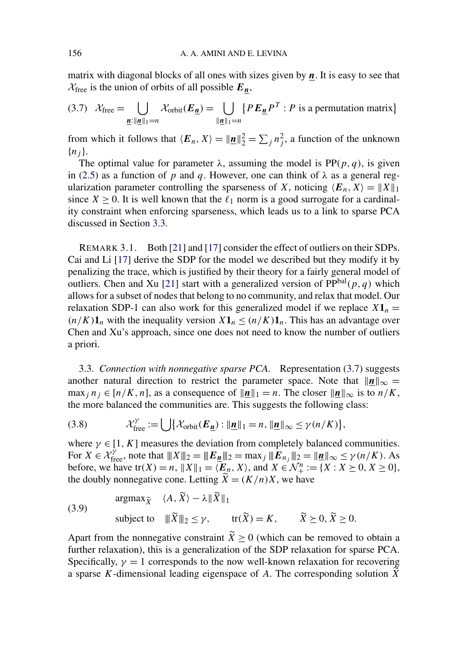<span id="page-7-0"></span>matrix with diagonal blocks of all ones with sizes given by *n*. It is easy to see that  $X_{\text{free}}$  is the union of orbits of all possible  $E_n$ ,

$$
(3.7) \quad \mathcal{X}_{\text{free}} = \bigcup_{\underline{n}:\|\underline{n}\|_1 = n} \mathcal{X}_{\text{orbit}}(E_{\underline{n}}) = \bigcup_{\|\underline{n}\|_1 = n} \{PE_{\underline{n}}P^T : P \text{ is a permutation matrix}\}
$$

from which it follows that  $\langle E_n, X \rangle = ||\mathbf{n}||_2^2 = \sum_j n_j^2$ , a function of the unknown  ${n_i}$ .

The optimal value for parameter  $\lambda$ , assuming the model is  $PP(p, q)$ , is given in [\(2.5\)](#page-5-0) as a function of *p* and *q*. However, one can think of  $\lambda$  as a general regularization parameter controlling the sparseness of *X*, noticing  $\langle E_n, X \rangle = ||X||_1$ since  $X \ge 0$ . It is well known that the  $\ell_1$  norm is a good surrogate for a cardinality constraint when enforcing sparseness, which leads us to a link to sparse PCA discussed in Section 3.3.

REMARK 3.1. Both [\[21\]](#page-28-0) and [\[17\]](#page-28-0) consider the effect of outliers on their SDPs. Cai and Li [\[17\]](#page-28-0) derive the SDP for the model we described but they modify it by penalizing the trace, which is justified by their theory for a fairly general model of outliers. Chen and Xu [\[21\]](#page-28-0) start with a generalized version of  $PP<sup>bal</sup>(p,q)$  which allows for a subset of nodes that belong to no community, and relax that model. Our relaxation SDP-1 can also work for this generalized model if we replace  $X\mathbf{1}_n =$  $(n/K)$ **1**<sup>*n*</sup> with the inequality version  $X$ **1**<sup>*n*</sup>  $\leq (n/K)$ **1***n*. This has an advantage over Chen and Xu's approach, since one does not need to know the number of outliers a priori.

3.3. *Connection with nonnegative sparse PCA*. Representation (3.7) suggests another natural direction to restrict the parameter space. Note that  $||\mathbf{n}||_{\infty} =$  $\max_j n_j \in [n/K, n]$ , as a consequence of  $||\mathbf{n}||_1 = n$ . The closer  $||\mathbf{n}||_{\infty}$  is to  $n/K$ , the more balanced the communities are. This suggests the following class:

(3.8) 
$$
\mathcal{X}_{\text{free}}^{\gamma} := \bigcup \{ \mathcal{X}_{\text{orbit}}(\boldsymbol{E}_{\underline{\boldsymbol{n}}}) : ||\underline{\boldsymbol{n}}||_1 = n, ||\underline{\boldsymbol{n}}||_{\infty} \leq \gamma (n/K) \},
$$

where  $\gamma \in [1, K]$  measures the deviation from completely balanced communities. For  $X \in \mathcal{X}_{\text{free}}^{\gamma}$ , note that  $|||X||_2 = ||E_{\underline{n}}||_2 = \max_j ||E_{n_j}||_2 = ||\underline{n}||_{\infty} \leq \gamma(n/K)$ . As before, we have  $tr(X) = n$ ,  $||X||_1 = \langle E_n, X \rangle$ , and  $X \in \mathcal{N}_+^n := \{X : X \succeq 0, X \ge 0\},$ the doubly nonnegative cone. Letting  $\widetilde{X} = (K/n)X$ , we have

(3.9) 
$$
\arg \max_{\widetilde{X}} \langle A, \widetilde{X} \rangle - \lambda \| \widetilde{X} \|_1
$$
  
subject to 
$$
\|\widetilde{X}\|_2 \le \gamma, \qquad \text{tr}(\widetilde{X}) = K, \qquad \widetilde{X} \ge 0, \widetilde{X} \ge 0.
$$

Apart from the nonnegative constraint  $\widetilde{X} \ge 0$  (which can be removed to obtain a further relaxation), this is a generalization of the SDP relaxation for sparse PCA. Specifically,  $\gamma = 1$  corresponds to the now well-known relaxation for recovering a sparse *K*-dimensional leading eigenspace of *A*. The corresponding solution *X*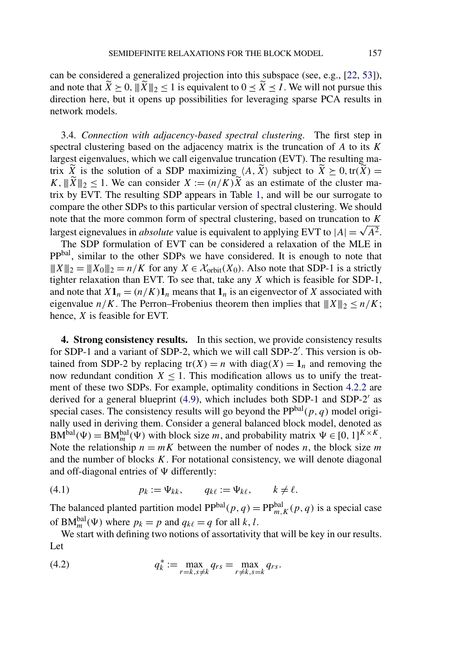<span id="page-8-0"></span>can be considered a generalized projection into this subspace (see, e.g., [\[22,](#page-28-0) [53\]](#page-30-0)), and note that  $\widetilde{X} \geq 0$ ,  $\|\widetilde{X}\|_2 \leq 1$  is equivalent to  $0 \leq \widetilde{X} \leq I$ . We will not pursue this direction here, but it opens up possibilities for leveraging sparse PCA results in network models.

3.4. *Connection with adjacency-based spectral clustering*. The first step in spectral clustering based on the adjacency matrix is the truncation of *A* to its *K* largest eigenvalues, which we call eigenvalue truncation (EVT). The resulting matrix  $\overline{X}$  is the solution of a SDP maximizing  $\langle A, \overline{X} \rangle$  subject to  $\overline{X} \succeq 0$ , tr $(\overline{X}) =$  $K, \|\tilde{X}\|_2 \leq 1$ . We can consider  $X := (n/K)\tilde{X}$  as an estimate of the cluster matrix by EVT. The resulting SDP appears in Table [1,](#page-2-0) and will be our surrogate to compare the other SDPs to this particular version of spectral clustering. We should note that the more common form of spectral clustering, based on truncation to *K* note that the more common form of spectral clustering, based on truncation to  $\kappa$  largest eignevalues in *absolute* value is equivalent to applying EVT to  $|A| = \sqrt{A^2}$ .

The SDP formulation of EVT can be considered a relaxation of the MLE in PPbal, similar to the other SDPs we have considered. It is enough to note that  $|||X||_2 = |||X_0||_2 = n/K$  for any  $X \in \mathcal{X}_{\text{orbit}}(X_0)$ . Also note that SDP-1 is a strictly tighter relaxation than EVT. To see that, take any *X* which is feasible for SDP-1, and note that  $X\mathbf{1}_n = (n/K)\mathbf{1}_n$  means that  $\mathbf{1}_n$  is an eigenvector of X associated with eigenvalue  $n/K$ . The Perron–Frobenius theorem then implies that  $||X||_2 \le n/K$ ; hence, *X* is feasible for EVT.

**4. Strong consistency results.** In this section, we provide consistency results for SDP-1 and a variant of SDP-2, which we will call SDP-2 . This version is obtained from SDP-2 by replacing  $tr(X) = n$  with diag $(X) = 1$ <sup>n</sup> and removing the now redundant condition  $X \leq 1$ . This modification allows us to unify the treatment of these two SDPs. For example, optimality conditions in Section [4.2.2](#page-14-0) are derived for a general blueprint [\(4.9\)](#page-14-0), which includes both SDP-1 and SDP-2 as special cases. The consistency results will go beyond the  $PP<sup>bal</sup>(p,q)$  model originally used in deriving them. Consider a general balanced block model, denoted as  $BM^{\text{bal}}(\Psi) = BM^{\text{bal}}_m(\Psi)$  with block size *m*, and probability matrix  $\Psi \in [0, 1]^{K \times K}$ . Note the relationship  $n = mK$  between the number of nodes *n*, the block size *m* and the number of blocks *K*. For notational consistency, we will denote diagonal and off-diagonal entries of  $\Psi$  differently:

$$
(4.1) \t\t\t p_k := \Psi_{kk}, \t\t q_{k\ell} := \Psi_{k\ell}, \t k \neq \ell.
$$

The balanced planted partition model  $PP^{bal}(p,q) = PP^{bal}_{m,K}(p,q)$  is a special case of  $BM_m^{\text{bal}}(\Psi)$  where  $p_k = p$  and  $q_{k\ell} = q$  for all  $k, l$ .

We start with defining two notions of assortativity that will be key in our results. Let

(4.2) 
$$
q_k^* := \max_{r=k, s\neq k} q_{rs} = \max_{r\neq k, s=k} q_{rs}.
$$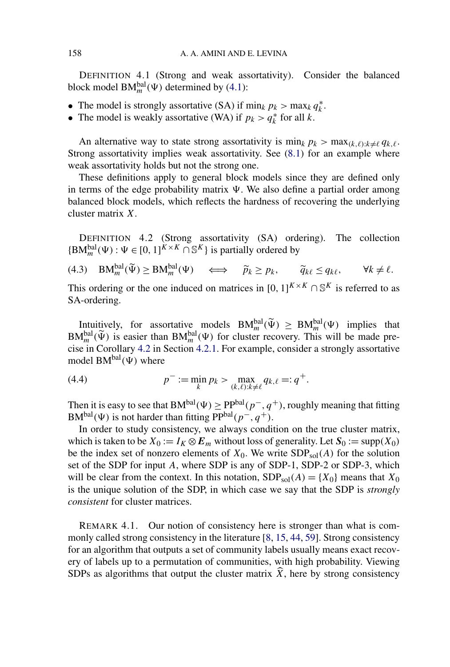<span id="page-9-0"></span>DEFINITION 4.1 (Strong and weak assortativity). Consider the balanced block model  $BM_m^{\text{bal}}(\Psi)$  determined by [\(4.1\)](#page-8-0):

- The model is strongly assortative (SA) if  $\min_k p_k > \max_k q_k^*$ .
- The model is weakly assortative (WA) if  $p_k > q_k^*$  for all *k*.

An alternative way to state strong assortativity is  $\min_k p_k > \max_{(k,\ell):k \neq \ell} q_{k,\ell}$ . Strong assortativity implies weak assortativity. See [\(8.1\)](#page-21-0) for an example where weak assortativity holds but not the strong one.

These definitions apply to general block models since they are defined only in terms of the edge probability matrix  $\Psi$ . We also define a partial order among balanced block models, which reflects the hardness of recovering the underlying cluster matrix *X*.

DEFINITION 4.2 (Strong assortativity (SA) ordering). The collection  ${BM_m^{\text{bal}}(\Psi) : \Psi \in [0, 1]^{K \times K} \cap \mathbb{S}^K}$  is partially ordered by

$$
(4.3) \quad BM_m^{\text{bal}}(\widetilde{\Psi}) \ge BM_m^{\text{bal}}(\Psi) \quad \Longleftrightarrow \quad \widetilde{p}_k \ge p_k, \qquad \widetilde{q}_{k\ell} \le q_{k\ell}, \qquad \forall k \neq \ell.
$$

This ordering or the one induced on matrices in  $[0, 1]^{K \times K} \cap \mathbb{S}^K$  is referred to as SA-ordering.

Intuitively, for assortative models  $BM_m^{\text{bal}}(\Psi) \geq BM_m^{\text{bal}}(\Psi)$  implies that  $BM_m^{\text{bal}}(\Psi)$  is easier than  $BM_m^{\text{bal}}(\Psi)$  for cluster recovery. This will be made precise in Corollary [4.2](#page-14-0) in Section [4.2.1.](#page-14-0) For example, consider a strongly assortative model  $BM<sup>bal</sup>(\Psi)$  where

(4.4) 
$$
p^{-} := \min_{k} p_{k} > \max_{(k,\ell):k\neq\ell} q_{k,\ell} =: q^{+}.
$$

Then it is easy to see that  $BM^{bal}(\Psi) \geq PP^{bal}(p^-, q^+)$ , roughly meaning that fitting BM<sup>bal</sup>( $\Psi$ ) is not harder than fitting PP<sup>bal</sup>( $p^{-}, q^{+}$ ).

In order to study consistency, we always condition on the true cluster matrix, which is taken to be  $X_0 := I_K \otimes E_m$  without loss of generality. Let  $S_0 := \text{supp}(X_0)$ be the index set of nonzero elements of  $X_0$ . We write  $SDP_{sol}(A)$  for the solution set of the SDP for input *A*, where SDP is any of SDP-1, SDP-2 or SDP-3, which will be clear from the context. In this notation,  $SDP_{sol}(A) = \{X_0\}$  means that  $X_0$ is the unique solution of the SDP, in which case we say that the SDP is *strongly consistent* for cluster matrices.

REMARK 4.1. Our notion of consistency here is stronger than what is commonly called strong consistency in the literature [\[8,](#page-27-0) [15,](#page-28-0) [44,](#page-29-0) [59\]](#page-30-0). Strong consistency for an algorithm that outputs a set of community labels usually means exact recovery of labels up to a permutation of communities, with high probability. Viewing SDPs as algorithms that output the cluster matrix *X* , here by strong consistency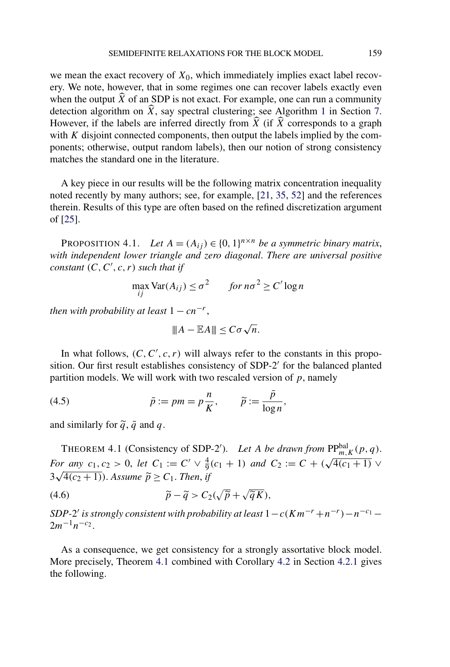<span id="page-10-0"></span>we mean the exact recovery of  $X_0$ , which immediately implies exact label recovery. We note, however, that in some regimes one can recover labels exactly even when the output  $\hat{X}$  of an SDP is not exact. For example, one can run a community detection algorithm on *X*, say spectral clustering; see Algorithm [1](#page-20-0) in Section [7.](#page-19-0) However, if the labels are inferred directly from  $\overline{X}$  (if  $\overline{X}$  corresponds to a graph with *K* disjoint connected components, then output the labels implied by the components; otherwise, output random labels), then our notion of strong consistency matches the standard one in the literature.

A key piece in our results will be the following matrix concentration inequality noted recently by many authors; see, for example, [\[21,](#page-28-0) [35,](#page-29-0) [52\]](#page-30-0) and the references therein. Results of this type are often based on the refined discretization argument of [\[25\]](#page-28-0).

PROPOSITION 4.1. *Let*  $A = (A_{ij}) \in \{0, 1\}^{n \times n}$  *be a symmetric binary matrix, with independent lower triangle and zero diagonal*. *There are universal positive*  $constant$   $(C, C', c, r)$  such that if

$$
\max_{ij} \text{Var}(A_{ij}) \le \sigma^2 \qquad \text{for } n\sigma^2 \ge C' \log n
$$

*then with probability at least*  $1 - cn^{-r}$ ,

$$
||A - \mathbb{E}A|| \leq C\sigma\sqrt{n}.
$$

In what follows,  $(C, C', c, r)$  will always refer to the constants in this proposition. Our first result establishes consistency of SDP-2 for the balanced planted partition models. We will work with two rescaled version of *p*, namely

(4.5) 
$$
\bar{p} := pm = p\frac{n}{K}, \qquad \tilde{p} := \frac{\bar{p}}{\log n},
$$

and similarly for  $\tilde{q}$ ,  $\bar{q}$  and *q*.

THEOREM 4.1 (Consistency of SDP-2'). Let *A* be drawn from  $PP_{m,K}^{bal}(p,q)$ . *For any*  $c_1, c_2 > 0$ , *let*  $C_1 := C' \vee \frac{4}{9}(c_1 + 1)$  *and*  $C_2 := C + (\sqrt{4(c_1 + 1)} \vee$  $3\sqrt{4(c_2+1)}$ . *Assume*  $\tilde{p} \ge C_1$ . *Then, if* 

(4.6) 
$$
\widetilde{p} - \widetilde{q} > C_2(\sqrt{\widetilde{p}} + \sqrt{\widetilde{q}K}),
$$

*SDP-2' is strongly consistent with probability at least*  $1 - c(Km^{-r} + n^{-r}) - n^{-c_1} 2m^{-1}n^{-c_2}$ .

As a consequence, we get consistency for a strongly assortative block model. More precisely, Theorem 4.1 combined with Corollary [4.2](#page-14-0) in Section [4.2.1](#page-14-0) gives the following.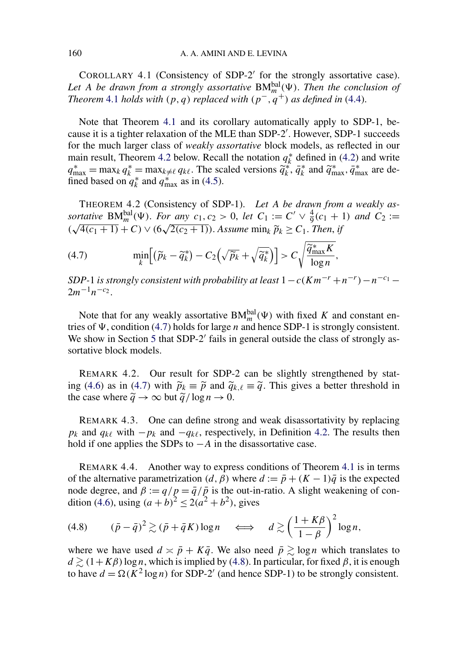<span id="page-11-0"></span>COROLLARY 4.1 (Consistency of SDP-2' for the strongly assortative case). Let A be drawn from a strongly assortative  $BM_m^{bal}(\Psi)$ . Then the conclusion of *Theorem* [4.1](#page-10-0) *holds with*  $(p, q)$  *replaced with*  $(p^-, q^+)$  *as defined in* [\(4.4\)](#page-9-0).

Note that Theorem [4.1](#page-10-0) and its corollary automatically apply to SDP-1, because it is a tighter relaxation of the MLE than SDP-2 . However, SDP-1 succeeds for the much larger class of *weakly assortative* block models, as reflected in our main result, Theorem 4.2 below. Recall the notation  $q_k^*$  defined in [\(4.2\)](#page-8-0) and write  $q_{\text{max}}^* = \max_k q_k^* = \max_{k \neq \ell} q_k_{\ell}$ . The scaled versions  $\tilde{q}_k^*$ ,  $\bar{q}_k^*$  and  $\tilde{q}_{\text{max}}^*$ ,  $\bar{q}_{\text{max}}^*$  are defined based on  $q_k^*$  and  $q_{\text{max}}^*$  as in [\(4.5\)](#page-10-0).

THEOREM 4.2 (Consistency of SDP-1). *Let A be drawn from a weakly assortative*  $BM_{m}^{bal}(\Psi)$ . *For any*  $c_1, c_2 > 0$ , *let*  $C_1 := C' \vee \frac{4}{9}(c_1 + 1)$  *and*  $C_2 :=$  $(\sqrt{4(c_1+1)}+C)$  ∨  $(6\sqrt{2(c_2+1)})$ . *Assume* min<sub>*k*</sub>  $\widetilde{p}_k \ge C_1$ . *Then, if* 

(4.7) 
$$
\min_{k} \left[ \left( \widetilde{p}_{k} - \widetilde{q}_{k}^{*} \right) - C_{2} \left( \sqrt{\widetilde{p}_{k}} + \sqrt{\widetilde{q}_{k}^{*}} \right) \right] > C_{\sqrt{\frac{\widetilde{q}_{\max}^{*} K}{\log n}}}.
$$

*SDP*-1 *is strongly consistent with probability at least*  $1 - c(Km^{-r} + n^{-r}) - n^{-c_1} 2m^{-1}n^{-c_2}$ .

Note that for any weakly assortative  $BM_m^{\text{bal}}(\Psi)$  with fixed *K* and constant entries of  $\Psi$ , condition (4.7) holds for large *n* and hence SDP-1 is strongly consistent. We show in Section [5](#page-16-0) that SDP-2' fails in general outside the class of strongly assortative block models.

REMARK 4.2. Our result for SDP-2 can be slightly strengthened by stat-ing [\(4.6\)](#page-10-0) as in (4.7) with  $\tilde{p}_k \equiv \tilde{p}$  and  $\tilde{q}_{k,\ell} \equiv \tilde{q}$ . This gives a better threshold in the case where  $\tilde{q} \to \infty$  but  $\tilde{q}/\log n \to 0$ .

REMARK 4.3. One can define strong and weak disassortativity by replacing *p<sub>k</sub>* and  $q_{k\ell}$  with  $-p_k$  and  $-q_{k\ell}$ , respectively, in Definition [4.2.](#page-9-0) The results then hold if one applies the SDPs to −*A* in the disassortative case.

REMARK 4.4. Another way to express conditions of Theorem [4.1](#page-10-0) is in terms of the alternative parametrization  $(d, \beta)$  where  $d := \bar{p} + (K - 1)\bar{q}$  is the expected node degree, and  $\beta := q/p = \overline{q}/\overline{p}$  is the out-in-ratio. A slight weakening of con-dition [\(4.6\)](#page-10-0), using  $(a + b)^2 \le 2(a^2 + b^2)$ , gives

(4.8) 
$$
(\bar{p} - \bar{q})^2 \gtrsim (\bar{p} + \bar{q}K) \log n \iff d \gtrsim \left(\frac{1 + K\beta}{1 - \beta}\right)^2 \log n,
$$

where we have used  $d \approx \bar{p} + K\bar{q}$ . We also need  $\bar{p} \gtrsim \log n$  which translates to  $d \gtrsim (1 + K\beta) \log n$ , which is implied by (4.8). In particular, for fixed  $\beta$ , it is enough to have  $d = \Omega(K^2 \log n)$  for SDP-2' (and hence SDP-1) to be strongly consistent.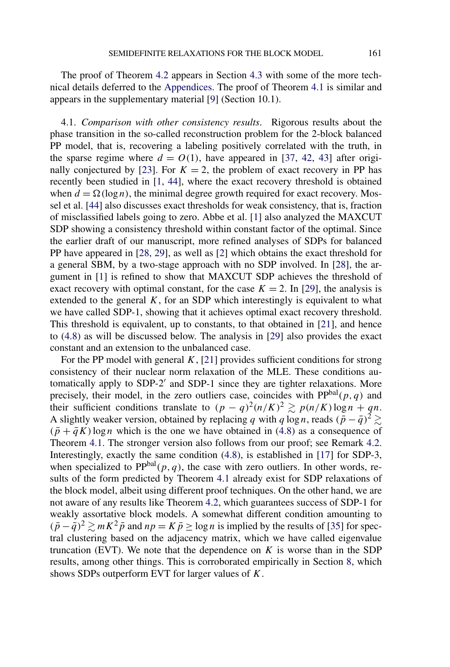The proof of Theorem [4.2](#page-11-0) appears in Section [4.3](#page-16-0) with some of the more technical details deferred to the [Appendices.](#page-24-0) The proof of Theorem [4.1](#page-10-0) is similar and appears in the supplementary material [\[9\]](#page-28-0) (Section 10.1).

4.1. *Comparison with other consistency results*. Rigorous results about the phase transition in the so-called reconstruction problem for the 2-block balanced PP model, that is, recovering a labeling positively correlated with the truth, in the sparse regime where  $d = O(1)$ , have appeared in [\[37,](#page-29-0) [42,](#page-29-0) [43\]](#page-29-0) after origi-nally conjectured by [\[23\]](#page-28-0). For  $K = 2$ , the problem of exact recovery in PP has recently been studied in [\[1,](#page-27-0) [44\]](#page-29-0), where the exact recovery threshold is obtained when  $d = \Omega(\log n)$ , the minimal degree growth required for exact recovery. Mossel et al. [\[44\]](#page-29-0) also discusses exact thresholds for weak consistency, that is, fraction of misclassified labels going to zero. Abbe et al. [\[1\]](#page-27-0) also analyzed the MAXCUT SDP showing a consistency threshold within constant factor of the optimal. Since the earlier draft of our manuscript, more refined analyses of SDPs for balanced PP have appeared in [\[28,](#page-28-0) [29\]](#page-29-0), as well as [\[2\]](#page-27-0) which obtains the exact threshold for a general SBM, by a two-stage approach with no SDP involved. In [\[28\]](#page-28-0), the argument in [\[1\]](#page-27-0) is refined to show that MAXCUT SDP achieves the threshold of exact recovery with optimal constant, for the case  $K = 2$ . In [\[29\]](#page-29-0), the analysis is extended to the general  $K$ , for an SDP which interestingly is equivalent to what we have called SDP-1, showing that it achieves optimal exact recovery threshold. This threshold is equivalent, up to constants, to that obtained in [\[21\]](#page-28-0), and hence to [\(4.8\)](#page-11-0) as will be discussed below. The analysis in [\[29\]](#page-29-0) also provides the exact constant and an extension to the unbalanced case.

For the PP model with general *K*, [\[21\]](#page-28-0) provides sufficient conditions for strong consistency of their nuclear norm relaxation of the MLE. These conditions automatically apply to SDP-2' and SDP-1 since they are tighter relaxations. More precisely, their model, in the zero outliers case, coincides with  $PP<sup>bal</sup>(p,q)$  and their sufficient conditions translate to  $(p - q)^2 (n/K)^2 \gtrsim p(n/K) \log n + qn$ . A slightly weaker version, obtained by replacing *q* with *q* log *n*, reads  $(\bar{p} - \bar{q})^2 \gtrsim$  $(\bar{p} + \bar{q}K)$ log *n* which is the one we have obtained in [\(4.8\)](#page-11-0) as a consequence of Theorem [4.1.](#page-10-0) The stronger version also follows from our proof; see Remark [4.2.](#page-11-0) Interestingly, exactly the same condition [\(4.8\)](#page-11-0), is established in [\[17\]](#page-28-0) for SDP-3, when specialized to  $PP<sup>bal</sup>(p,q)$ , the case with zero outliers. In other words, results of the form predicted by Theorem [4.1](#page-10-0) already exist for SDP relaxations of the block model, albeit using different proof techniques. On the other hand, we are not aware of any results like Theorem [4.2,](#page-11-0) which guarantees success of SDP-1 for weakly assortative block models. A somewhat different condition amounting to  $(\bar{p} - \bar{q})^2 \gtrsim mK^2\bar{p}$  and  $np = K\bar{p} \ge \log n$  is implied by the results of [\[35\]](#page-29-0) for spectral clustering based on the adjacency matrix, which we have called eigenvalue truncation (EVT). We note that the dependence on  $K$  is worse than in the SDP results, among other things. This is corroborated empirically in Section [8,](#page-21-0) which shows SDPs outperform EVT for larger values of *K*.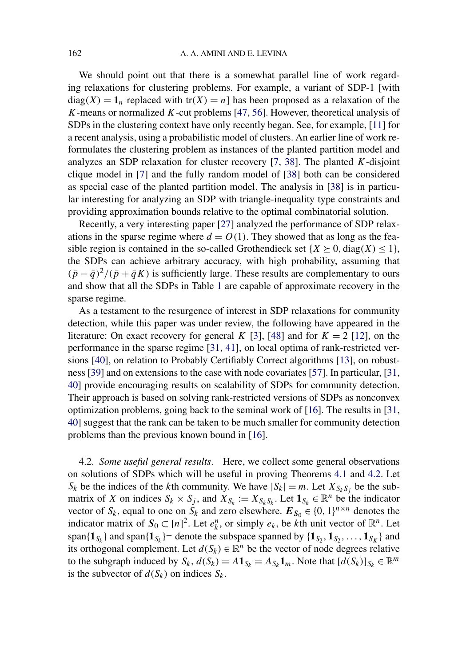<span id="page-13-0"></span>We should point out that there is a somewhat parallel line of work regarding relaxations for clustering problems. For example, a variant of SDP-1 [with  $diag(X) = 1$ <sup>n</sup> replaced with tr $(X) = n$ ] has been proposed as a relaxation of the *K*-means or normalized *K*-cut problems [\[47,](#page-29-0) [56\]](#page-30-0). However, theoretical analysis of SDPs in the clustering context have only recently began. See, for example, [\[11\]](#page-28-0) for a recent analysis, using a probabilistic model of clusters. An earlier line of work reformulates the clustering problem as instances of the planted partition model and analyzes an SDP relaxation for cluster recovery [\[7,](#page-27-0) [38\]](#page-29-0). The planted *K*-disjoint clique model in [\[7\]](#page-27-0) and the fully random model of [\[38\]](#page-29-0) both can be considered as special case of the planted partition model. The analysis in [\[38\]](#page-29-0) is in particular interesting for analyzing an SDP with triangle-inequality type constraints and providing approximation bounds relative to the optimal combinatorial solution.

Recently, a very interesting paper [\[27\]](#page-28-0) analyzed the performance of SDP relaxations in the sparse regime where  $d = O(1)$ . They showed that as long as the feasible region is contained in the so-called Grothendieck set  ${X > 0, \text{diag}(X) < 1}$ , the SDPs can achieve arbitrary accuracy, with high probability, assuming that  $(\bar{p} - \bar{q})^2/(\bar{p} + \bar{q}K)$  is sufficiently large. These results are complementary to ours and show that all the SDPs in Table [1](#page-2-0) are capable of approximate recovery in the sparse regime.

As a testament to the resurgence of interest in SDP relaxations for community detection, while this paper was under review, the following have appeared in the literature: On exact recovery for general *K* [\[3\]](#page-27-0), [\[48\]](#page-29-0) and for  $K = 2$  [\[12\]](#page-28-0), on the performance in the sparse regime [\[31,](#page-29-0) [41\]](#page-29-0), on local optima of rank-restricted versions [\[40\]](#page-29-0), on relation to Probably Certifiably Correct algorithms [\[13\]](#page-28-0), on robustness [\[39\]](#page-29-0) and on extensions to the case with node covariates [\[57\]](#page-30-0). In particular, [\[31,](#page-29-0) [40\]](#page-29-0) provide encouraging results on scalability of SDPs for community detection. Their approach is based on solving rank-restricted versions of SDPs as nonconvex optimization problems, going back to the seminal work of [\[16\]](#page-28-0). The results in [\[31,](#page-29-0) [40\]](#page-29-0) suggest that the rank can be taken to be much smaller for community detection problems than the previous known bound in [\[16\]](#page-28-0).

4.2. *Some useful general results*. Here, we collect some general observations on solutions of SDPs which will be useful in proving Theorems [4.1](#page-10-0) and [4.2.](#page-11-0) Let  $S_k$  be the indices of the *k*th community. We have  $|S_k| = m$ . Let  $X_{S_k}S_j$  be the submatrix of *X* on indices  $S_k \times S_j$ , and  $X_{S_k} := X_{S_k S_k}$ . Let  $\mathbf{1}_{S_k} \in \mathbb{R}^n$  be the indicator vector of  $S_k$ , equal to one on  $S_k$  and zero elsewhere.  $E_{S_0} \in \{0, 1\}^{n \times n}$  denotes the indicator matrix of  $S_0 \subset [n]^2$ . Let  $e_k^n$ , or simply  $e_k$ , be *k*th unit vector of  $\mathbb{R}^n$ . Let  $\{1_{S_k}\}$  and  $\text{span}\{1_{S_k}\}^{\perp}$  denote the subspace spanned by  $\{1_{S_2}, 1_{S_2}, \ldots, 1_{S_K}\}$  and its orthogonal complement. Let  $d(S_k) \in \mathbb{R}^n$  be the vector of node degrees relative to the subgraph induced by  $S_k$ ,  $d(S_k) = A \mathbf{1}_{S_k} = A_{S_k} \mathbf{1}_m$ . Note that  $[d(S_k)]_{S_k} \in \mathbb{R}^m$ is the subvector of  $d(S_k)$  on indices  $S_k$ .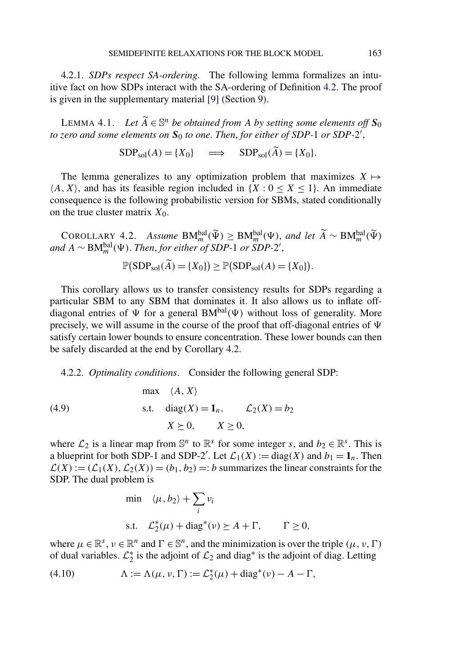<span id="page-14-0"></span>4.2.1. *SDPs respect SA-ordering*. The following lemma formalizes an intuitive fact on how SDPs interact with the SA-ordering of Definition [4.2.](#page-9-0) The proof is given in the supplementary material [\[9\]](#page-28-0) (Section 9).

LEMMA 4.1. Let  $\widetilde{A} \in \mathbb{S}^n$  *be obtained from A by setting some elements off*  $S_0$ *to zero and some elements on S*<sup>0</sup> *to one*. *Then*, *for either of SDP-*1 *or SDP-*2 ,

$$
SDP_{sol}(A) = \{X_0\} \quad \Longrightarrow \quad SDP_{sol}(\widetilde{A}) = \{X_0\}.
$$

The lemma generalizes to any optimization problem that maximizes  $X \mapsto$  $\langle A, X \rangle$ , and has its feasible region included in  $\{X : 0 \le X \le 1\}$ . An immediate consequence is the following probabilistic version for SBMs, stated conditionally on the true cluster matrix  $X_0$ .

 $\text{COROLLARY 4.2.}$  *Assume*  $\text{BM}_{m}^{\text{bal}}(\widetilde{\Psi}) \geq \text{BM}_{m}^{\text{bal}}(\Psi)$ , and let  $\widetilde{A} \sim \text{BM}_{m}^{\text{bal}}(\widetilde{\Psi})$ *and*  $A \sim BM_m^{\text{bal}}(\Psi)$ . *Then, for either of SDP-1 or SDP-2',* 

$$
\mathbb{P}(\text{SDP}_{\text{sol}}(\widetilde{A}) = \{X_0\}) \ge \mathbb{P}(\text{SDP}_{\text{sol}}(A) = \{X_0\}).
$$

This corollary allows us to transfer consistency results for SDPs regarding a particular SBM to any SBM that dominates it. It also allows us to inflate offdiagonal entries of  $\Psi$  for a general BM<sup>bal</sup> $(\Psi)$  without loss of generality. More precisely, we will assume in the course of the proof that off-diagonal entries of  $\Psi$ satisfy certain lower bounds to ensure concentration. These lower bounds can then be safely discarded at the end by Corollary 4.2.

### 4.2.2. *Optimality conditions*. Consider the following general SDP:

(4.9) 
$$
\max \quad \langle A, X \rangle
$$

$$
\text{s.t. } \text{diag}(X) = \mathbf{1}_n, \qquad \mathcal{L}_2(X) = b_2
$$

$$
X \succeq 0, \qquad X \ge 0,
$$

where  $\mathcal{L}_2$  is a linear map from  $\mathbb{S}^n$  to  $\mathbb{R}^s$  for some integer *s*, and  $b_2 \in \mathbb{R}^s$ . This is a blueprint for both SDP-1 and SDP-2'. Let  $\mathcal{L}_1(X) := \text{diag}(X)$  and  $b_1 = \mathbf{1}_n$ . Then  $\mathcal{L}(X) := (\mathcal{L}_1(X), \mathcal{L}_2(X)) = (b_1, b_2) =: b$  summarizes the linear constraints for the SDP. The dual problem is

min 
$$
\langle \mu, b_2 \rangle + \sum_i v_i
$$
  
s.t.  $\mathcal{L}_2^*(\mu) + \text{diag}^*(v) \succeq A + \Gamma$ ,  $\Gamma \ge 0$ ,

where  $\mu \in \mathbb{R}^s$ ,  $\nu \in \mathbb{R}^n$  and  $\Gamma \in \mathbb{S}^n$ , and the minimization is over the triple  $(\mu, \nu, \Gamma)$ of dual variables.  $\mathcal{L}_2^*$  is the adjoint of  $\mathcal{L}_2$  and diag<sup>\*</sup> is the adjoint of diag. Letting

(4.10) 
$$
\Lambda := \Lambda(\mu, \nu, \Gamma) := \mathcal{L}_2^*(\mu) + \text{diag}^*(\nu) - A - \Gamma,
$$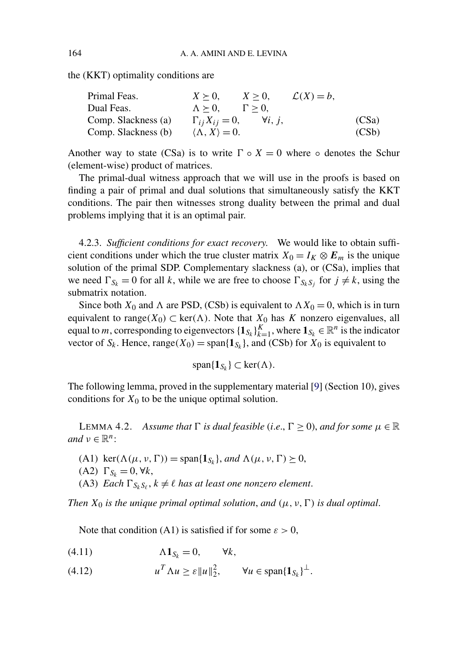the (KKT) optimality conditions are

| Primal Feas.        | $X \geq 0$ .                         | $X > 0$ .                                      | $\mathcal{L}(X) = b$ , |       |
|---------------------|--------------------------------------|------------------------------------------------|------------------------|-------|
| Dual Feas.          | $\Lambda \geq 0$ , $\Gamma \geq 0$ , |                                                |                        |       |
| Comp. Slackness (a) |                                      | $\Gamma_{ii} X_{ii} = 0, \qquad \forall i, j,$ |                        | (CSa) |
| Comp. Slackness (b) | $\langle \Lambda, X \rangle = 0.$    |                                                |                        | (CSb) |

Another way to state (CSa) is to write  $\Gamma \circ X = 0$  where  $\circ$  denotes the Schur (element-wise) product of matrices.

The primal-dual witness approach that we will use in the proofs is based on finding a pair of primal and dual solutions that simultaneously satisfy the KKT conditions. The pair then witnesses strong duality between the primal and dual problems implying that it is an optimal pair.

4.2.3. *Sufficient conditions for exact recovery*. We would like to obtain sufficient conditions under which the true cluster matrix  $X_0 = I_K \otimes E_m$  is the unique solution of the primal SDP. Complementary slackness (a), or (CSa), implies that we need  $\Gamma_{S_k} = 0$  for all *k*, while we are free to choose  $\Gamma_{S_k S_j}$  for  $j \neq k$ , using the submatrix notation.

Since both  $X_0$  and  $\Lambda$  are PSD, (CSb) is equivalent to  $\Lambda X_0 = 0$ , which is in turn equivalent to range $(X_0) \subset \text{ker}(\Lambda)$ . Note that  $X_0$  has *K* nonzero eigenvalues, all equal to *m*, corresponding to eigenvectors  $\{\mathbf{1}_{S_k}\}_{k=1}^K$ , where  $\mathbf{1}_{S_k} \in \mathbb{R}^n$  is the indicator vector of  $S_k$ . Hence,  $range(X_0) = span\{1_{S_k}\}\$ , and (CSb) for  $X_0$  is equivalent to

$$
\mathrm{span}\{\mathbf{1}_{S_k}\}\subset\ker(\Lambda).
$$

The following lemma, proved in the supplementary material [\[9\]](#page-28-0) (Section 10), gives conditions for  $X_0$  to be the unique optimal solution.

LEMMA 4.2. *Assume that*  $\Gamma$  *is dual feasible* (*i.e.*,  $\Gamma \geq 0$ ), *and for some*  $\mu \in \mathbb{R}$ *and*  $v \in \mathbb{R}^n$ :

- (A1) ker $(\Lambda(\mu, \nu, \Gamma)) = \text{span}\{\mathbf{1}_{S_k}\},$  *and*  $\Lambda(\mu, \nu, \Gamma) \geq 0$ ,
- $(A2)$   $\Gamma_{S_k} = 0, \forall k,$
- (A3) *Each*  $\Gamma_{S_kS_\ell}$ ,  $k \neq \ell$  *has at least one nonzero element.*

*Then*  $X_0$  *is the unique primal optimal solution, and*  $(\mu, \nu, \Gamma)$  *is dual optimal.* 

Note that condition (A1) is satisfied if for some  $\varepsilon > 0$ ,

- (4.11)  $\Lambda 1_{S_k} = 0, \quad \forall k,$
- $u^T \Lambda u \ge \varepsilon ||u||_2^2, \qquad \forall u \in \text{span}\{\mathbf{1}_{S_k}\}^{\perp}.$

<span id="page-15-0"></span>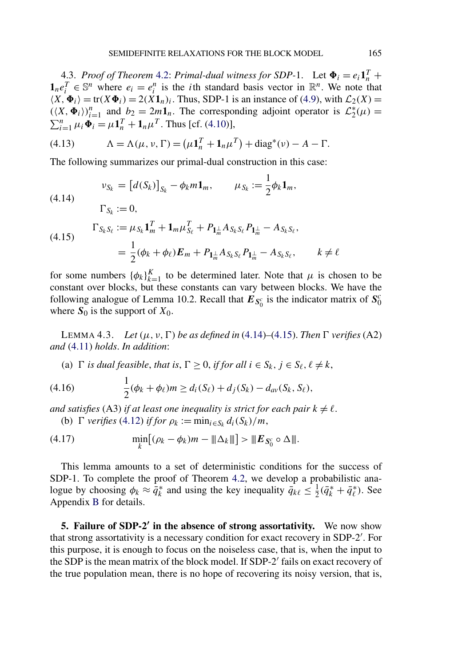<span id="page-16-0"></span>4.3. *Proof of Theorem* [4.2:](#page-11-0) *Primal-dual witness for SDP-1*. Let  $\Phi_i = e_i \mathbf{1}_n^T +$  $\mathbf{1}_n e_i^T \in \mathbb{S}^n$  where  $e_i = e_i^n$  is the *i*th standard basis vector in  $\mathbb{R}^n$ . We note that  $\langle X, \Phi_i \rangle = \text{tr}(X\Phi_i) = 2(X\mathbf{1}_n)_i$ . Thus, SDP-1 is an instance of [\(4.9\)](#page-14-0), with  $\mathcal{L}_2(X) =$  $((X, \Phi_i))_{i=1}^n$  and  $b_2 = 2m\mathbf{1}_n$ . The corresponding adjoint operator is  $\mathcal{L}_2^*(\mu) =$  $\sum_{i=1}^{n} \mu_i \Phi_i = \mu \mathbf{1}_n^T + \mathbf{1}_n \mu^T$ . Thus [cf. [\(4.10\)](#page-14-0)],

(4.13) 
$$
\Lambda = \Lambda(\mu, \nu, \Gamma) = (\mu \mathbf{1}_n^T + \mathbf{1}_n \mu^T) + \text{diag}^*(\nu) - A - \Gamma.
$$

The following summarizes our primal-dual construction in this case:

(4.14)  
\n
$$
v_{S_k} = [d(S_k)]_{S_k} - \phi_k m \mathbf{1}_m, \qquad \mu_{S_k} := \frac{1}{2} \phi_k \mathbf{1}_m,
$$
\n
$$
\Gamma_{S_k} := 0,
$$
\n
$$
F_{S_k S_\ell} := \mu_{S_k} \mathbf{1}_m^T + \mathbf{1}_m \mu_{S_\ell}^T + P_{\mathbf{1}_m^\perp} A_{S_k S_\ell} P_{\mathbf{1}_m^\perp} - A_{S_k S_\ell},
$$
\n
$$
= \frac{1}{2} (\phi_k + \phi_\ell) E_m + P_{\mathbf{1}_m^\perp} A_{S_k S_\ell} P_{\mathbf{1}_m^\perp} - A_{S_k S_\ell}, \qquad k \neq \ell
$$

for some numbers  $\{\phi_k\}_{k=1}^K$  to be determined later. Note that  $\mu$  is chosen to be constant over blocks, but these constants can vary between blocks. We have the following analogue of Lemma 10.2. Recall that  $\vec{E}_{S_0^c}$  is the indicator matrix of  $S_0^c$ where  $S_0$  is the support of  $X_0$ .

**LEMMA 4.3.** *Let* ( $\mu$ ,  $\nu$ , Γ) *be as defined in* (4.14)–(4.15). *Then* Γ *verifies* (A2) *and* [\(4.11\)](#page-15-0) *holds*. *In addition*:

(a)  $\Gamma$  *is dual feasible, that is,*  $\Gamma \geq 0$ *, if for all*  $i \in S_k$ *,*  $j \in S_\ell$ *,*  $\ell \neq k$ *,* 

(4.16) 
$$
\frac{1}{2}(\phi_k + \phi_\ell)m \ge d_i(S_\ell) + d_j(S_k) - d_{av}(S_k, S_\ell),
$$

*and satisfies* (A3) *if at least one inequality is strict for each pair*  $k \neq \ell$ . (b)  $\Gamma$  *verifies* [\(4.12\)](#page-15-0) *if for*  $\rho_k := \min_{i \in S_k} d_i(S_k)/m$ ,

(4.17) 
$$
\min_{k} [(\rho_k - \phi_k)m - ||\Delta_k||] > ||E_{S_0^c} \circ \Delta||.
$$

This lemma amounts to a set of deterministic conditions for the success of SDP-1. To complete the proof of Theorem [4.2,](#page-11-0) we develop a probabilistic analogue by choosing  $\phi_k \approx \bar{q}_k^*$  and using the key inequality  $\bar{q}_{k\ell} \leq \frac{1}{2}(\bar{q}_k^* + \bar{q}_\ell^*)$ . See Appendix [B](#page-25-0) for details.

**5. Failure of SDP-2- in the absence of strong assortativity.** We now show that strong assortativity is a necessary condition for exact recovery in SDP-2 . For this purpose, it is enough to focus on the noiseless case, that is, when the input to the SDP is the mean matrix of the block model. If SDP-2' fails on exact recovery of the true population mean, there is no hope of recovering its noisy version, that is,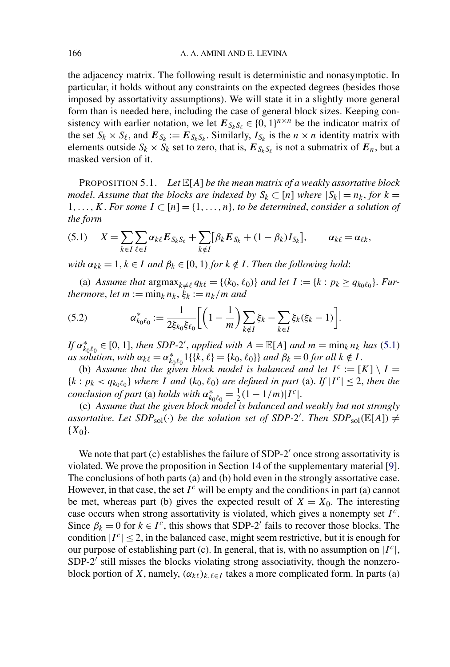<span id="page-17-0"></span>the adjacency matrix. The following result is deterministic and nonasymptotic. In particular, it holds without any constraints on the expected degrees (besides those imposed by assortativity assumptions). We will state it in a slightly more general form than is needed here, including the case of general block sizes. Keeping consistency with earlier notation, we let  $E_{S_kS_\ell} \in \{0,1\}^{n \times n}$  be the indicator matrix of the set  $S_k \times S_\ell$ , and  $E_{S_k} := E_{S_k S_k}$ . Similarly,  $I_{S_k}$  is the  $n \times n$  identity matrix with elements outside  $S_k \times S_k$  set to zero, that is,  $E_{S_k S_k}$  is not a submatrix of  $E_n$ , but a masked version of it.

PROPOSITION 5.1. *Let* E[*A*] *be the mean matrix of a weakly assortative block model.* Assume that the blocks are indexed by  $S_k \subset [n]$  where  $|S_k| = n_k$ , for  $k =$ 1*,...,K*. *For some I* ⊂ [*n*]={1*,...,n*}, *to be determined*, *consider a solution of the form*

$$
(5.1) \tX = \sum_{k \in I} \sum_{\ell \in I} \alpha_{k\ell} E_{S_k S_{\ell}} + \sum_{k \notin I} [\beta_k E_{S_k} + (1 - \beta_k) I_{S_k}], \t\alpha_{k\ell} = \alpha_{\ell k},
$$

*with*  $\alpha_{kk} = 1, k \in I$  *and*  $\beta_k \in [0, 1)$  *for*  $k \notin I$ . *Then the following hold:* 

(a) *Assume that*  $\argmax_{k \neq \ell} q_{k\ell} = \{(k_0, \ell_0)\}$  *and let*  $I := \{k : p_k \geq q_{k_0 \ell_0}\}$ . Fur*thermore, let*  $m := \min_k n_k$ ,  $\xi_k := n_k/m$  *and* 

(5.2) 
$$
\alpha_{k_0\ell_0}^* := \frac{1}{2\xi_{k_0}\xi_{\ell_0}} \bigg[ \bigg(1 - \frac{1}{m}\bigg) \sum_{k \notin I} \xi_k - \sum_{k \in I} \xi_k (\xi_k - 1) \bigg].
$$

*If*  $\alpha_{k_0\ell_0}^* \in [0, 1]$ , *then SDP-2'*, *applied with*  $A = \mathbb{E}[A]$  *and*  $m = \min_k n_k$  *has* (5.1) *as solution, with*  $\alpha_{k\ell} = \alpha_{k_0\ell_0}^* 1\{ \{k, \ell\} = \{k_0, \ell_0\} \}$  *and*  $\beta_k = 0$  *for all*  $k \notin I$ .

(b) Assume that the given block model is balanced and let  $I^c := [K] \setminus I =$  ${k: p_k < q_{k_0 \ell_0}}$  *where I* and  $(k_0, \ell_0)$  are defined in part (a). If  $|I^c| \leq 2$ , then the *conclusion of part* (a) *holds with*  $\alpha_{k_0\ell_0}^* = \frac{1}{2}(1 - 1/m)|I^c|$ .

(c) *Assume that the given block model is balanced and weakly but not strongly assortative. Let*  $SDP_{sol}(\cdot)$  *be the solution set of SDP-2'. Then*  $SDP_{sol}(\mathbb{E}[A]) \neq$ {*X*0}.

We note that part  $(c)$  establishes the failure of SDP-2' once strong assortativity is violated. We prove the proposition in Section 14 of the supplementary material [\[9\]](#page-28-0). The conclusions of both parts (a) and (b) hold even in the strongly assortative case. However, in that case, the set  $I^c$  will be empty and the conditions in part (a) cannot be met, whereas part (b) gives the expected result of  $X = X_0$ . The interesting case occurs when strong assortativity is violated, which gives a nonempty set  $I^c$ . Since  $\beta_k = 0$  for  $k \in I^c$ , this shows that SDP-2' fails to recover those blocks. The condition  $|I^c| \leq 2$ , in the balanced case, might seem restrictive, but it is enough for our purpose of establishing part (c). In general, that is, with no assumption on  $|I^c|$ , SDP-2' still misses the blocks violating strong associativity, though the nonzeroblock portion of *X*, namely,  $(\alpha_{k\ell})_{k,\ell\in I}$  takes a more complicated form. In parts (a)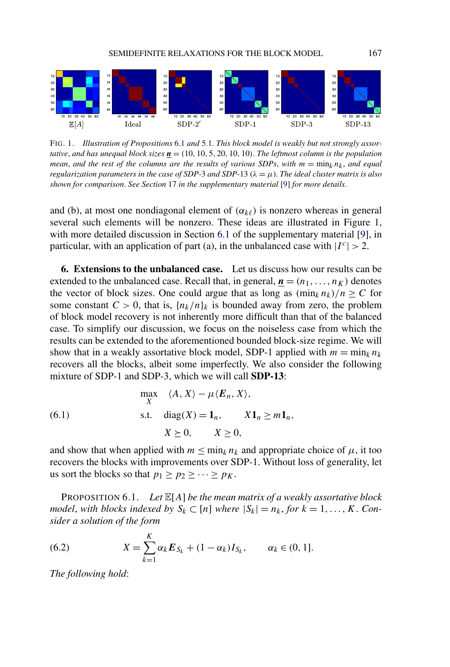<span id="page-18-0"></span>

FIG. 1. *Illustration of Propositions* 6.1 *and* [5.1.](#page-17-0) *This block model is weakly but not strongly assortative, and has unequal block sizes*  $n = (10, 10, 5, 20, 10, 10)$ . *The leftmost column is the population mean*, *and the rest of the columns are the results of various SDPs, with*  $m = \min_k n_k$ , *and equal regularization parameters in the case of SDP-3 and SDP-13* ( $\lambda = \mu$ ). The ideal cluster matrix is also *shown for comparison*. *See Section* 17 *in the supplementary material* [\[9\]](#page-28-0) *for more details*.

and (b), at most one nondiagonal element of  $(\alpha_{k\ell})$  is nonzero whereas in general several such elements will be nonzero. These ideas are illustrated in Figure 1, with more detailed discussion in Section 6.1 of the supplementary material [\[9\]](#page-28-0), in particular, with an application of part (a), in the unbalanced case with  $|I^c| > 2$ .

**6. Extensions to the unbalanced case.** Let us discuss how our results can be extended to the unbalanced case. Recall that, in general,  $\mathbf{n} = (n_1, \ldots, n_K)$  denotes the vector of block sizes. One could argue that as long as  $(\min_k n_k)/n \ge C$  for some constant  $C > 0$ , that is,  $\{n_k/n\}_k$  is bounded away from zero, the problem of block model recovery is not inherently more difficult than that of the balanced case. To simplify our discussion, we focus on the noiseless case from which the results can be extended to the aforementioned bounded block-size regime. We will show that in a weakly assortative block model, SDP-1 applied with  $m = \min_k n_k$ recovers all the blocks, albeit some imperfectly. We also consider the following mixture of SDP-1 and SDP-3, which we will call **SDP-13**:

(6.1) 
$$
\max_{X} \quad \langle A, X \rangle - \mu \langle E_n, X \rangle,
$$

$$
\text{s.t. } \text{diag}(X) = \mathbf{1}_n, \qquad X \mathbf{1}_n \ge m \mathbf{1}_n,
$$

$$
X \succeq 0, \qquad X \ge 0,
$$

and show that when applied with  $m \le \min_k n_k$  and appropriate choice of  $\mu$ , it too recovers the blocks with improvements over SDP-1. Without loss of generality, let us sort the blocks so that  $p_1 \geq p_2 \geq \cdots \geq p_K$ .

PROPOSITION 6.1. *Let* E[*A*] *be the mean matrix of a weakly assortative block model, with blocks indexed by*  $S_k \subset [n]$  *where*  $|S_k| = n_k$ *, for*  $k = 1, ..., K$ *. Consider a solution of the form*

(6.2) 
$$
X = \sum_{k=1}^{K} \alpha_k E_{S_k} + (1 - \alpha_k) I_{S_k}, \qquad \alpha_k \in (0, 1].
$$

*The following hold*: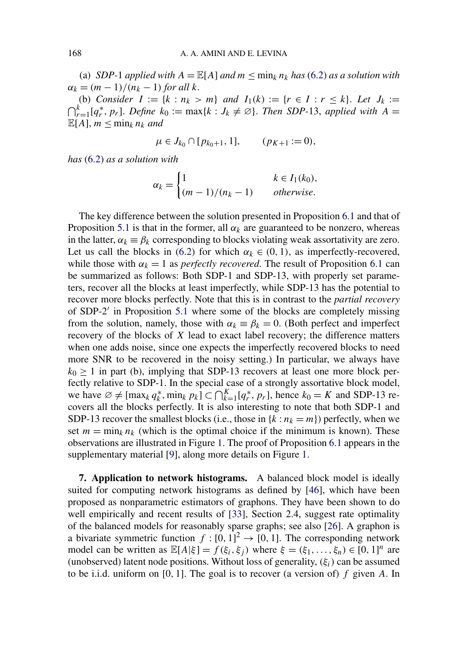<span id="page-19-0"></span>(a) *SDP-1 applied with*  $A = \mathbb{E}[A]$  *and*  $m \leq \min_k n_k$  *has* [\(6.2\)](#page-18-0) *as a solution with*  $\alpha_k = (m-1)/(n_k-1)$  *for all k.* 

(b) *Consider*  $I := \{k : n_k > m\}$  *and*  $I_1(k) := \{r \in I : r \leq k\}$ . Let  $J_k :=$  $\bigcap_{r=1}^{k} [q_r^*, p_r]$ . *Define*  $k_0 := \max\{k : J_k \neq \emptyset\}$ . *Then SDP-13, applied with*  $A =$  $\mathbb{E}[A]$ ,  $m \leq \min_k n_k$  and

$$
\mu \in J_{k_0} \cap [p_{k_0+1}, 1], \qquad (p_{K+1} := 0),
$$

*has* [\(6.2\)](#page-18-0) *as a solution with*

$$
\alpha_k = \begin{cases} 1 & k \in I_1(k_0), \\ (m-1)/(n_k-1) & otherwise. \end{cases}
$$

The key difference between the solution presented in Proposition [6.1](#page-18-0) and that of Proposition [5.1](#page-17-0) is that in the former, all  $\alpha_k$  are guaranteed to be nonzero, whereas in the latter,  $\alpha_k \equiv \beta_k$  corresponding to blocks violating weak assortativity are zero. Let us call the blocks in [\(6.2\)](#page-18-0) for which  $\alpha_k \in (0, 1)$ , as imperfectly-recovered, while those with  $\alpha_k = 1$  as *perfectly recovered*. The result of Proposition [6.1](#page-18-0) can be summarized as follows: Both SDP-1 and SDP-13, with properly set parameters, recover all the blocks at least imperfectly, while SDP-13 has the potential to recover more blocks perfectly. Note that this is in contrast to the *partial recovery* of SDP-2 in Proposition [5.1](#page-17-0) where some of the blocks are completely missing from the solution, namely, those with  $\alpha_k \equiv \beta_k = 0$ . (Both perfect and imperfect recovery of the blocks of *X* lead to exact label recovery; the difference matters when one adds noise, since one expects the imperfectly recovered blocks to need more SNR to be recovered in the noisy setting.) In particular, we always have  $k_0 \ge 1$  in part (b), implying that SDP-13 recovers at least one more block perfectly relative to SDP-1. In the special case of a strongly assortative block model, we have  $\emptyset \neq [\max_k q_k^* , \min_k p_k] \subset \bigcap_{k=1}^K [q_r^* , p_r ]$ , hence  $k_0 = K$  and SDP-13 recovers all the blocks perfectly. It is also interesting to note that both SDP-1 and SDP-13 recover the smallest blocks (i.e., those in  $\{k : n_k = m\}$ ) perfectly, when we set  $m = \min_k n_k$  (which is the optimal choice if the minimum is known). These observations are illustrated in Figure [1.](#page-18-0) The proof of Proposition [6.1](#page-18-0) appears in the supplementary material [\[9\]](#page-28-0), along more details on Figure [1.](#page-18-0)

**7. Application to network histograms.** A balanced block model is ideally suited for computing network histograms as defined by [\[46\]](#page-29-0), which have been proposed as nonparametric estimators of graphons. They have been shown to do well empirically and recent results of [\[33\]](#page-29-0), Section 2.4, suggest rate optimality of the balanced models for reasonably sparse graphs; see also [\[26\]](#page-28-0). A graphon is a bivariate symmetric function  $f: [0, 1]^2 \to [0, 1]$ . The corresponding network model can be written as  $\mathbb{E}[A|\xi] = f(\xi_i, \xi_j)$  where  $\xi = (\xi_1, \ldots, \xi_n) \in [0, 1]^n$  are (unobserved) latent node positions. Without loss of generality, *(ξi)* can be assumed to be i.i.d. uniform on [0*,* 1]. The goal is to recover (a version of) *f* given *A*. In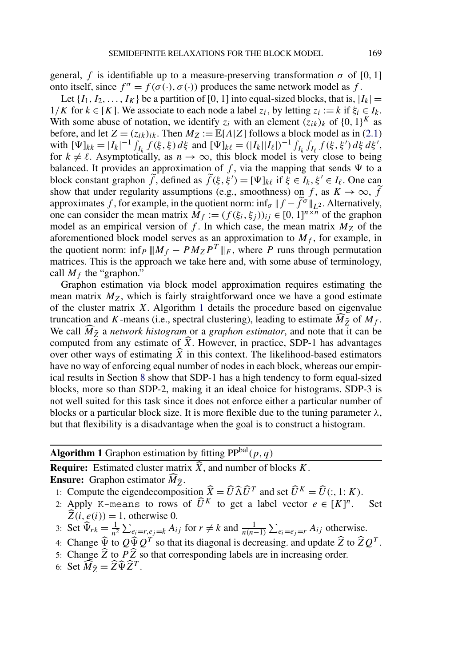<span id="page-20-0"></span>general, *f* is identifiable up to a measure-preserving transformation  $\sigma$  of [0, 1] onto itself, since  $f^{\sigma} = f(\sigma(\cdot), \sigma(\cdot))$  produces the same network model as f.

Let  $\{I_1, I_2, \ldots, I_K\}$  be a partition of [0, 1] into equal-sized blocks, that is,  $|I_k|$  =  $1/K$  for  $k \in [K]$ . We associate to each node a label  $z_i$ , by letting  $z_i := k$  if  $\xi_i \in I_k$ . With some abuse of notation, we identify  $z_i$  with an element  $(z_{ik})_k$  of  $\{0, 1\}^K$  as before, and let  $Z = (z_{ik})_{ik}$ . Then  $M_Z := \mathbb{E}[A|Z]$  follows a block model as in [\(2.1\)](#page-3-0) with  $[\Psi]_{kk} = |I_k|^{-1} \int_{I_k} f(\xi, \xi) d\xi$  and  $[\Psi]_{k\ell} = (|I_k||I_\ell|)^{-1} \int_{I_k} f(\xi, \xi') d\xi d\xi'$ , for  $k \neq \ell$ . Asymptotically, as  $n \to \infty$ , this block model is very close to being balanced. It provides an approximation of  $f$ , via the mapping that sends  $\Psi$  to a block constant graphon  $\tilde{f}$ , defined as  $\tilde{f}(\xi, \xi') = [\Psi]_{k\ell}$  if  $\xi \in I_k$ ,  $\xi' \in I_\ell$ . One can show that under regularity assumptions (e.g., smoothness) on *f*, as  $K \to \infty$ ,  $\widetilde{f}$ approximates *f*, for example, in the quotient norm:  $\inf_{\sigma} ||f - \tilde{f}^{\sigma}||_{L^2}$ . Alternatively, one can consider the mean matrix  $\vec{M}_f := (f(\xi_i, \xi_j))_{ij} \in [0, 1]^{n \times n}$  of the graphon model as an empirical version of  $f$ . In which case, the mean matrix  $M_Z$  of the aforementioned block model serves as an approximation to  $M_f$ , for example, in the quotient norm:  $\inf_P ||M_f - PM_ZP^T||_F$ , where *P* runs through permutation matrices. This is the approach we take here and, with some abuse of terminology, call  $M_f$  the "graphon."

Graphon estimation via block model approximation requires estimating the mean matrix  $M_Z$ , which is fairly straightforward once we have a good estimate of the cluster matrix *X*. Algorithm 1 details the procedure based on eigenvalue truncation and *K*-means (i.e., spectral clustering), leading to estimate  $\overline{M}_{\hat{Z}}$  of  $M_f$ . We call  $M_{\hat{Z}}$  a *network histogram* or a *graphon estimator*, and note that it can be computed from any estimate of  $\widehat{X}$ . However, in practice, SDP-1 has advantages over other ways of estimating *X* in this context. The likelihood-based estimators have no way of enforcing equal number of nodes in each block, whereas our empirical results in Section [8](#page-21-0) show that SDP-1 has a high tendency to form equal-sized blocks, more so than SDP-2, making it an ideal choice for histograms. SDP-3 is not well suited for this task since it does not enforce either a particular number of blocks or a particular block size. It is more flexible due to the tuning parameter  $\lambda$ , but that flexibility is a disadvantage when the goal is to construct a histogram.

| <b>Algorithm 1</b> Graphon estimation by fitting $PP^{bal}(p,q)$ |  |  |  |
|------------------------------------------------------------------|--|--|--|
|                                                                  |  |  |  |

**Require:** Estimated cluster matrix  $\overrightarrow{X}$ , and number of blocks  $K$ . **Ensure:** Graphon estimator *M* .

- 1: Compute the eigendecomposition  $\widehat{X} = \widehat{U} \widehat{\Lambda} \widehat{U}^T$  and set  $\widehat{U}^K = \widehat{U}(:, 1: K)$ .
- 2: Apply K-means to rows of  $\widehat{U}^K$  to get a label vector  $e \in [K]^n$ . Set  $\widehat{Z}(i, e(i)) = 1$ , otherwise 0.
- 3: Set  $\widehat{\Psi}_{rk} = \frac{1}{n^2} \sum_{e_i = r, e_j = k} A_{ij}$  for  $r \neq k$  and  $\frac{1}{n(n-1)} \sum_{e_i = e_j = r} A_{ij}$  otherwise.
- 4: Change  $\widehat{\Psi}$  to  $Q\widehat{\Psi}Q^T$  so that its diagonal is decreasing. and update  $\widehat{Z}$  to  $\widehat{Z}Q^T$ .
- 5: Change  $\overline{Z}$  to  $P\overline{Z}$  so that corresponding labels are in increasing order.
- 6: Set  $\widehat{M}_{\widehat{Z}} = \widehat{Z} \widehat{\Psi} \widehat{Z}^T$ .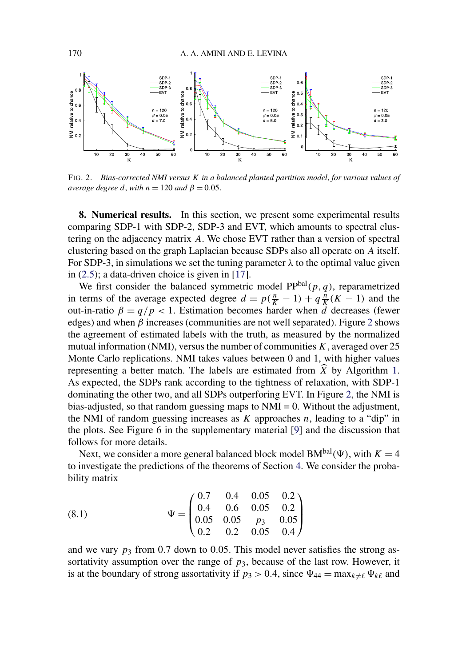<span id="page-21-0"></span>

FIG. 2. *Bias-corrected NMI versus K in a balanced planted partition model*, *for various values of average degree d, with*  $n = 120$  *and*  $\beta = 0.05$ .

**8. Numerical results.** In this section, we present some experimental results comparing SDP-1 with SDP-2, SDP-3 and EVT, which amounts to spectral clustering on the adjacency matrix *A*. We chose EVT rather than a version of spectral clustering based on the graph Laplacian because SDPs also all operate on *A* itself. For SDP-3, in simulations we set the tuning parameter  $\lambda$  to the optimal value given in  $(2.5)$ ; a data-driven choice is given in [\[17\]](#page-28-0).

We first consider the balanced symmetric model  $PP<sup>bal</sup>(p,q)$ , reparametrized in terms of the average expected degree  $d = p(\frac{n}{K} - 1) + q\frac{n}{K}(K - 1)$  and the out-in-ratio *β* = *q/p <* 1. Estimation becomes harder when *d* decreases (fewer edges) and when  $\beta$  increases (communities are not well separated). Figure 2 shows the agreement of estimated labels with the truth, as measured by the normalized mutual information (NMI), versus the number of communities *K*, averaged over 25 Monte Carlo replications. NMI takes values between 0 and 1, with higher values representing a better match. The labels are estimated from *X* by Algorithm [1.](#page-20-0) As expected, the SDPs rank according to the tightness of relaxation, with SDP-1 dominating the other two, and all SDPs outperforing EVT. In Figure 2, the NMI is bias-adjusted, so that random guessing maps to  $NMI = 0$ . Without the adjustment, the NMI of random guessing increases as  $K$  approaches  $n$ , leading to a "dip" in the plots. See Figure 6 in the supplementary material [\[9\]](#page-28-0) and the discussion that follows for more details.

Next, we consider a more general balanced block model BM<sup>bal</sup>( $\Psi$ ), with  $K = 4$ to investigate the predictions of the theorems of Section [4.](#page-8-0) We consider the probability matrix

(8.1) 
$$
\Psi = \begin{pmatrix} 0.7 & 0.4 & 0.05 & 0.2 \\ 0.4 & 0.6 & 0.05 & 0.2 \\ 0.05 & 0.05 & p_3 & 0.05 \\ 0.2 & 0.2 & 0.05 & 0.4 \end{pmatrix}
$$

and we vary  $p_3$  from 0.7 down to 0.05. This model never satisfies the strong assortativity assumption over the range of  $p_3$ , because of the last row. However, it is at the boundary of strong assortativity if  $p_3 > 0.4$ , since  $\Psi_{44} = \max_{k \neq \ell} \Psi_{k\ell}$  and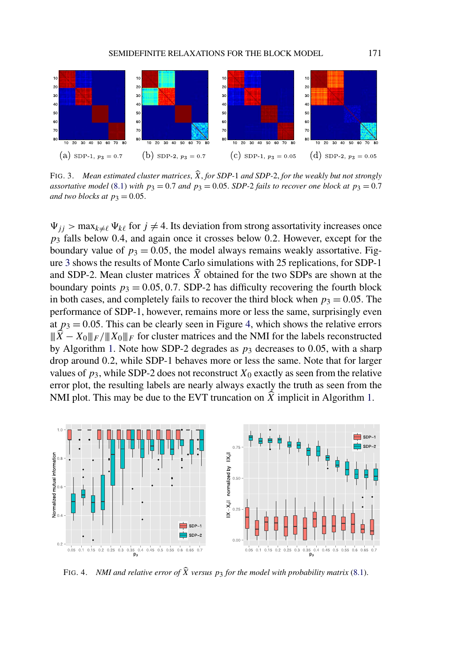

FIG. 3. *Mean estimated cluster matrices*, *X* , *for SDP-*1 *and SDP-*2, *for the weakly but not strongly assortative model* [\(8.1\)](#page-21-0) *with*  $p_3 = 0.7$  *and*  $p_3 = 0.05$ . *SDP-2 fails to recover one block at*  $p_3 = 0.7$ *and two blocks at*  $p_3 = 0.05$ .

 $\Psi_{ij}$  > max<sub>k</sub> $\neq$   $\Psi_{k\ell}$  for *j*  $\neq$  4. Its deviation from strong assortativity increases once *p*<sup>3</sup> falls below 0*.*4, and again once it crosses below 0*.*2. However, except for the boundary value of  $p_3 = 0.05$ , the model always remains weakly assortative. Figure 3 shows the results of Monte Carlo simulations with 25 replications, for SDP-1 and SDP-2. Mean cluster matrices  $\overline{X}$  obtained for the two SDPs are shown at the boundary points  $p_3 = 0.05, 0.7$ . SDP-2 has difficulty recovering the fourth block in both cases, and completely fails to recover the third block when  $p_3 = 0.05$ . The performance of SDP-1, however, remains more or less the same, surprisingly even at  $p_3 = 0.05$ . This can be clearly seen in Figure 4, which shows the relative errors  $\|\widehat{X} - X_0\|_F / \|X_0\|_F$  for cluster matrices and the NMI for the labels reconstructed by Algorithm [1.](#page-20-0) Note how SDP-2 degrades as  $p_3$  decreases to 0.05, with a sharp drop around 0*.*2, while SDP-1 behaves more or less the same. Note that for larger values of  $p_3$ , while SDP-2 does not reconstruct  $X_0$  exactly as seen from the relative error plot, the resulting labels are nearly always exactly the truth as seen from the NMI plot. This may be due to the EVT truncation on  $\tilde{X}$  implicit in Algorithm [1.](#page-20-0)



FIG. 4. *NMI and relative error of X versus p*3 *for the model with probability matrix* [\(8.1\)](#page-21-0).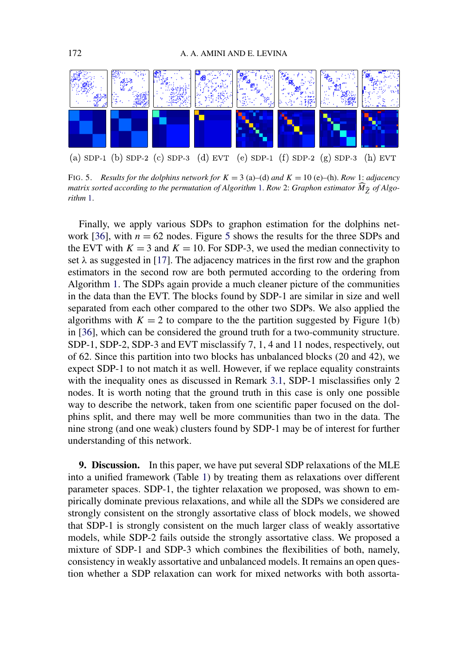<span id="page-23-0"></span>

FIG. 5. *Results for the dolphins network for*  $K = 3$  (a)–(d) *and*  $K = 10$  (e)–(h). *Row* 1: *adjacency matrix sorted according to the permutation of Algorithm* [1.](#page-20-0) *Row* 2: *Graphon estimator M Z of Algo-*

 $\overline{ }$ 

Finally, we apply various SDPs to graphon estimation for the dolphins net-work [\[36\]](#page-29-0), with  $n = 62$  nodes. Figure 5 shows the results for the three SDPs and the EVT with  $K = 3$  and  $K = 10$ . For SDP-3, we used the median connectivity to set  $\lambda$  as suggested in [\[17\]](#page-28-0). The adjacency matrices in the first row and the graphon estimators in the second row are both permuted according to the ordering from Algorithm [1.](#page-20-0) The SDPs again provide a much cleaner picture of the communities in the data than the EVT. The blocks found by SDP-1 are similar in size and well separated from each other compared to the other two SDPs. We also applied the algorithms with  $K = 2$  to compare to the the partition suggested by Figure 1(b) in [\[36\]](#page-29-0), which can be considered the ground truth for a two-community structure. SDP-1, SDP-2, SDP-3 and EVT misclassify 7, 1, 4 and 11 nodes, respectively, out of 62. Since this partition into two blocks has unbalanced blocks (20 and 42), we expect SDP-1 to not match it as well. However, if we replace equality constraints with the inequality ones as discussed in Remark [3.1,](#page-7-0) SDP-1 misclassifies only 2 nodes. It is worth noting that the ground truth in this case is only one possible way to describe the network, taken from one scientific paper focused on the dolphins split, and there may well be more communities than two in the data. The nine strong (and one weak) clusters found by SDP-1 may be of interest for further understanding of this network.

**9. Discussion.** In this paper, we have put several SDP relaxations of the MLE into a unified framework (Table [1\)](#page-2-0) by treating them as relaxations over different parameter spaces. SDP-1, the tighter relaxation we proposed, was shown to empirically dominate previous relaxations, and while all the SDPs we considered are strongly consistent on the strongly assortative class of block models, we showed that SDP-1 is strongly consistent on the much larger class of weakly assortative models, while SDP-2 fails outside the strongly assortative class. We proposed a mixture of SDP-1 and SDP-3 which combines the flexibilities of both, namely, consistency in weakly assortative and unbalanced models. It remains an open question whether a SDP relaxation can work for mixed networks with both assorta-

*rithm* [1.](#page-20-0)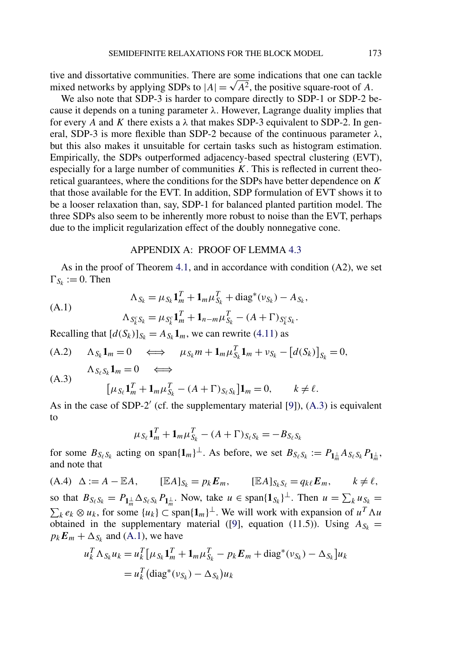<span id="page-24-0"></span>tive and dissortative communities. There are some indications that one can tackle tive and dissortative communities. There are some indications that one can tack mixed networks by applying SDPs to  $|A| = \sqrt{A^2}$ , the positive square-root of *A*.

We also note that SDP-3 is harder to compare directly to SDP-1 or SDP-2 because it depends on a tuning parameter *λ*. However, Lagrange duality implies that for every *A* and *K* there exists a *λ* that makes SDP-3 equivalent to SDP-2. In general, SDP-3 is more flexible than SDP-2 because of the continuous parameter  $\lambda$ , but this also makes it unsuitable for certain tasks such as histogram estimation. Empirically, the SDPs outperformed adjacency-based spectral clustering (EVT), especially for a large number of communities *K*. This is reflected in current theoretical guarantees, where the conditions for the SDPs have better dependence on *K* that those available for the EVT. In addition, SDP formulation of EVT shows it to be a looser relaxation than, say, SDP-1 for balanced planted partition model. The three SDPs also seem to be inherently more robust to noise than the EVT, perhaps due to the implicit regularization effect of the doubly nonnegative cone.

## APPENDIX A: PROOF OF LEMMA [4.3](#page-16-0)

As in the proof of Theorem [4.1,](#page-10-0) and in accordance with condition (A2), we set  $\Gamma_{S_k} := 0$ . Then

(A.1) 
$$
\Lambda_{S_k} = \mu_{S_k} \mathbf{1}_m^T + \mathbf{1}_m \mu_{S_k}^T + \text{diag}^*(v_{S_k}) - A_{S_k},
$$

$$
\Lambda_{S_k^c S_k} = \mu_{S_k^c} \mathbf{1}_m^T + \mathbf{1}_{n-m} \mu_{S_k}^T - (A + \Gamma)_{S_k^c S_k}.
$$

Recalling that  $[d(S_k)]_{S_k} = A_{S_k} \mathbf{1}_m$ , we can rewrite [\(4.11\)](#page-15-0) as

(A.2) 
$$
\Lambda_{S_k} \mathbf{1}_m = 0 \iff \mu_{S_k} m + \mathbf{1}_m \mu_{S_k}^T \mathbf{1}_m + \nu_{S_k} - [d(S_k)]_{S_k} = 0,
$$

$$
\Lambda_{S_{\ell}S_k} \mathbf{1}_m = 0 \quad \Longleftrightarrow \quad
$$

$$
\left[\mu_{S_{\ell}}\mathbf{1}_m^T + \mathbf{1}_m \mu_{S_k}^T - (A + \Gamma)_{S_{\ell}S_k}\right]\mathbf{1}_m = 0, \qquad k \neq \ell.
$$

As in the case of SDP-2' (cf. the supplementary material [\[9\]](#page-28-0)),  $(A.3)$  is equivalent to

$$
\mu_{S_{\ell}}\mathbf{1}_m^T + \mathbf{1}_m \mu_{S_k}^T - (A + \Gamma)_{S_{\ell}S_k} = -B_{S_{\ell}S_k}
$$

for some  $B_{S_{\ell}S_k}$  acting on span $\{\mathbf{1}_m\}^{\perp}$ . As before, we set  $B_{S_{\ell}S_k} := P_{\mathbf{1}_m^{\perp}}A_{S_{\ell}S_k}P_{\mathbf{1}_m^{\perp}}$ , and note that

 $(A.4)$   $\Delta := A - \mathbb{E}A$ ,  $[\mathbb{E}A]_{S_k} = p_k \mathbf{E}_m$ ,  $[\mathbb{E}A]_{S_kS_\ell} = q_{k\ell} \mathbf{E}_m$ ,  $k \neq \ell$ , so that  $B_{S_{\ell}S_k} = P_{\mathbf{1}_{m}^{\perp}} \Delta_{S_{\ell}S_k} P_{\mathbf{1}_{m}^{\perp}}$ . Now, take  $u \in \text{span}\{\mathbf{1}_{S_k}\}^{\perp}$ . Then  $u = \sum_{k} u_{S_k} =$  $\sum_{k} e_k \otimes u_k$ , for some  $\{u_k\} \subset \text{span}\{\mathbf{1}_m\}^{\perp}$ . We will work with expansion of  $u^T \Lambda u$ obtained in the supplementary material ([\[9\]](#page-28-0), equation (11.5)). Using  $A_{S_k}$  =  $p_k E_m + \Delta_{S_k}$  and (A.1), we have

$$
u_k^T \Lambda_{S_k} u_k = u_k^T [\mu_{S_k} \mathbf{1}_m^T + \mathbf{1}_m \mu_{S_k}^T - p_k \mathbf{E}_m + \text{diag}^*(v_{S_k}) - \Delta_{S_k}] u_k
$$
  
=  $u_k^T (\text{diag}^*(v_{S_k}) - \Delta_{S_k}) u_k$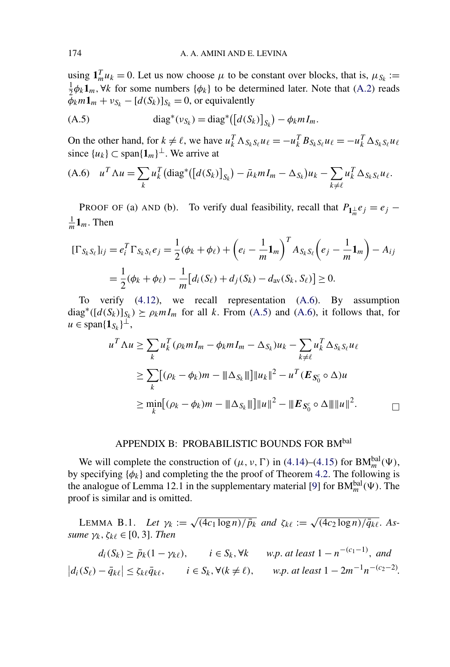<span id="page-25-0"></span>using  $\mathbf{1}_m^T u_k = 0$ . Let us now choose  $\mu$  to be constant over blocks, that is,  $\mu_{S_k} :=$  $\frac{1}{2}\phi_k\mathbf{1}_m$ ,  $\forall k$  for some numbers  $\{\phi_k\}$  to be determined later. Note that [\(A.2\)](#page-24-0) reads  $\bar{\phi}_k m \mathbf{1}_m + v_{S_k} - [d(S_k)]_{S_k} = 0$ , or equivalently

diag<sup>∗</sup>*(νSk )* <sup>=</sup> diag∗*d(Sk) Sk* (A.5) − *φkmIm.*

On the other hand, for  $k \neq \ell$ , we have  $u_k^T \Lambda_{S_k S_\ell} u_\ell = -u_k^T B_{S_k S_\ell} u_\ell = -u_k^T \Delta_{S_k S_\ell} u_\ell$ since  $\{u_k\} \subset \text{span}\{\mathbf{1}_m\}^{\perp}$ . We arrive at

$$
(A.6) \quad u^T \Lambda u = \sum_k u_k^T \left(\text{diag}^* ([d(S_k)]_{S_k}) - \bar{\mu}_k m I_m - \Delta_{S_k}\right) u_k - \sum_{k \neq \ell} u_k^T \Delta_{S_k S_\ell} u_\ell.
$$

PROOF OF (a) AND (b). To verify dual feasibility, recall that  $P_{1\frac{1}{m}}e_j = e_j \frac{1}{m}$ **1**<sub>*m*</sub>. Then

$$
\begin{aligned} [\Gamma_{S_k S_\ell}]_{ij} &= e_i^T \Gamma_{S_k S_\ell} e_j = \frac{1}{2} (\phi_k + \phi_\ell) + \left( e_i - \frac{1}{m} \mathbf{1}_m \right)^T A_{S_k S_\ell} \left( e_j - \frac{1}{m} \mathbf{1}_m \right) - A_{ij} \\ &= \frac{1}{2} (\phi_k + \phi_\ell) - \frac{1}{m} [d_i(S_\ell) + d_j(S_k) - d_{av}(S_k, S_\ell)] \ge 0. \end{aligned}
$$

To verify [\(4.12\)](#page-15-0), we recall representation (A.6). By assumption  $diag^*([d(S_k)]_{S_k}) \ge \rho_k m I_m$  for all *k*. From (A.5) and (A.6), it follows that, for  $u \in \text{span}\{\mathbf{1}_{S_k}\}^{\perp},$ 

$$
u^T \Lambda u \ge \sum_k u_k^T (\rho_k m I_m - \phi_k m I_m - \Delta_{S_k}) u_k - \sum_{k \ne \ell} u_k^T \Delta_{S_k S_\ell} u_\ell
$$
  
\n
$$
\ge \sum_k [(\rho_k - \phi_k) m - ||\Delta_{S_k}||] ||u_k||^2 - u^T (E_{S_0^c} \circ \Delta) u
$$
  
\n
$$
\ge \min_k [(\rho_k - \phi_k) m - ||\Delta_{S_k}||] ||u||^2 - ||E_{S_0^c} \circ \Delta|| ||u||^2.
$$

# APPENDIX B: PROBABILISTIC BOUNDS FOR BM<sup>bal</sup>

We will complete the construction of  $(\mu, \nu, \Gamma)$  in [\(4.14\)](#page-16-0)–[\(4.15\)](#page-16-0) for BM<sup>bal</sup><sub>m</sub><sup>( $\Psi$ </sup>), by specifying  $\{\phi_k\}$  and completing the the proof of Theorem [4.2.](#page-11-0) The following is the analogue of Lemma 12.1 in the supplementary material [\[9\]](#page-28-0) for  $BM_m^{\text{bal}}(\Psi)$ . The proof is similar and is omitted.

LEMMA B.1. *Let*  $\gamma_k := \sqrt{\frac{4c_1 \log n}{\bar{p}_k}}$  *and*  $\zeta_{k\ell} := \sqrt{\frac{4c_2 \log n}{\bar{q}_{k\ell}}}$ . As*sume*  $\gamma_k, \zeta_{k\ell} \in [0, 3]$ *. Then* 

$$
d_i(S_k) \ge \bar{p}_k(1 - \gamma_{k\ell}), \qquad i \in S_k, \forall k \qquad w.p. \text{ at least } 1 - n^{-(c_1 - 1)}, \text{ and}
$$
  

$$
|d_i(S_\ell) - \bar{q}_{k\ell}| \le \zeta_{k\ell} \bar{q}_{k\ell}, \qquad i \in S_k, \forall (k \ne \ell), \qquad w.p. \text{ at least } 1 - 2m^{-1}n^{-(c_2 - 2)}.
$$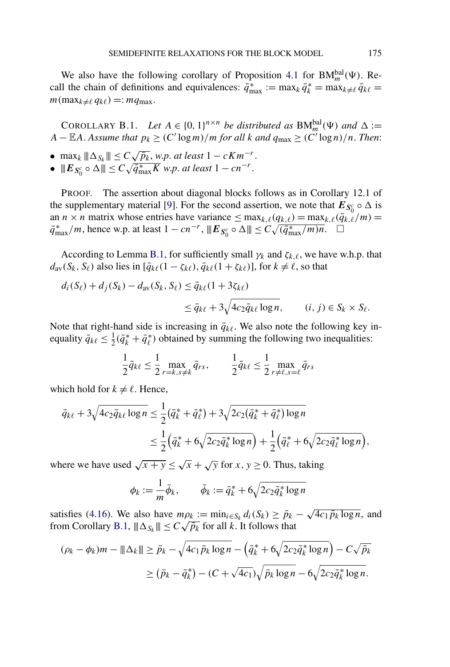<span id="page-26-0"></span>We also have the following corollary of Proposition [4.1](#page-10-0) for  $BM_m^{\text{bal}}(\Psi)$ . Recall the chain of definitions and equivalences:  $\bar{q}^*_{\text{max}} := \max_k \bar{q}^*_k = \max_{k \neq \ell} \bar{q}_{k\ell} =$  $m(\max_{k \neq \ell} q_{k\ell}) =: mq_{\max}.$ 

COROLLARY B.1. *Let*  $A \in \{0, 1\}^{n \times n}$  *be distributed as*  $BM_m^{\text{bal}}(\Psi)$  *and*  $\Delta :=$ *A* −  $\mathbb{E}$ *A*. *Assume that*  $p_k$  ≥  $(C' \log m)$ */m for all k and*  $q_{\text{max}}$  ≥  $(C' \log n)$ */n*. *Then*:

- max<sub>k</sub>  $|| \Delta_{S_k} || \leq C \sqrt{\bar{p}_k}$ , *w.p. at least*  $1 cKm^{-r}$ .
- $||E_{S_0^c} \circ \Delta|| \leq C \sqrt{\bar{q}_{\text{max}}^* K}$  *w.p. at least*  $1 cn^{-r}$ .

PROOF. The assertion about diagonal blocks follows as in Corollary 12.1 of the supplementary material [\[9\]](#page-28-0). For the second assertion, we note that  $E_{S_0^c} \circ \Delta$  is an  $n \times n$  matrix whose entries have variance  $\leq \max_{k,\ell}(q_{k,\ell}) = \max_{k,\ell}(\bar{q}_{k,\ell}/m) =$  $\overline{q}^*_{\text{max}}/m$ , hence w.p. at least  $1 - cn^{-r}$ ,  $||E_{S_0^c} \circ \Delta|| \leq C \sqrt{(\overline{q}^*_{\text{max}}/m)n}$ .  $\Box$ 

According to Lemma [B.1,](#page-25-0) for sufficiently small  $\gamma_k$  and  $\zeta_{k,\ell}$ , we have w.h.p. that  $d_{av}(S_k, S_\ell)$  also lies in  $[\bar{q}_{k\ell}(1 - \zeta_{k\ell}), \bar{q}_{k\ell}(1 + \zeta_{k\ell})]$ , for  $k \neq \ell$ , so that

$$
d_i(S_\ell) + d_j(S_k) - d_{av}(S_k, S_\ell) \le \bar{q}_{k\ell} (1 + 3\zeta_{k\ell})
$$
  

$$
\le \bar{q}_{k\ell} + 3\sqrt{4c_2\bar{q}_{k\ell}\log n}, \qquad (i, j) \in S_k \times S_\ell.
$$

Note that right-hand side is increasing in  $\bar{q}_{k\ell}$ . We also note the following key inequality  $\bar{q}_{k\ell} \leq \frac{1}{2}(\bar{q}_k^* + \bar{q}_\ell^*)$  obtained by summing the following two inequalities:

$$
\frac{1}{2}\bar{q}_{k\ell} \le \frac{1}{2} \max_{r=k, s\neq k} \bar{q}_{rs}, \qquad \frac{1}{2}\bar{q}_{k\ell} \le \frac{1}{2} \max_{r\neq \ell, s=\ell} \bar{q}_{rs}
$$

which hold for  $k \neq \ell$ . Hence,

$$
\bar{q}_{k\ell} + 3\sqrt{4c_2\bar{q}_{k\ell}\log n} \le \frac{1}{2}(\bar{q}_k^* + \bar{q}_\ell^*) + 3\sqrt{2c_2(\bar{q}_k^* + \bar{q}_\ell^*)\log n} \n\le \frac{1}{2}(\bar{q}_k^* + 6\sqrt{2c_2\bar{q}_k^*\log n}) + \frac{1}{2}(\bar{q}_\ell^* + 6\sqrt{2c_2\bar{q}_\ell^*\log n}),
$$

where we have used  $\sqrt{x + y} \le \sqrt{x} + \sqrt{y}$  for *x*, *y* ≥ 0. Thus, taking

$$
\phi_k := \frac{1}{m}\bar{\phi}_k, \qquad \bar{\phi}_k := \bar{q}_k^* + 6\sqrt{2c_2\bar{q}_k^* \log n}
$$

satisfies [\(4.16\)](#page-16-0). We also have  $m \rho_k := \min_{i \in S_k} d_i(S_k) \ge \bar{p}_k - \sqrt{4c_1 \bar{p}_k \log n}$ , and from Corollary B.1,  $|| \Delta_{S_k} || \leq C \sqrt{\overline{p_k}}$  for all *k*. It follows that

$$
(\rho_k - \phi_k)m - ||\Delta_k|| \ge \bar{p}_k - \sqrt{4c_1\bar{p}_k\log n} - (\bar{q}_k^* + 6\sqrt{2c_2\bar{q}_k^*\log n}) - C\sqrt{\bar{p}_k} \ge (\bar{p}_k - \bar{q}_k^*) - (C + \sqrt{4c_1})\sqrt{\bar{p}_k\log n} - 6\sqrt{2c_2\bar{q}_k^*\log n}.
$$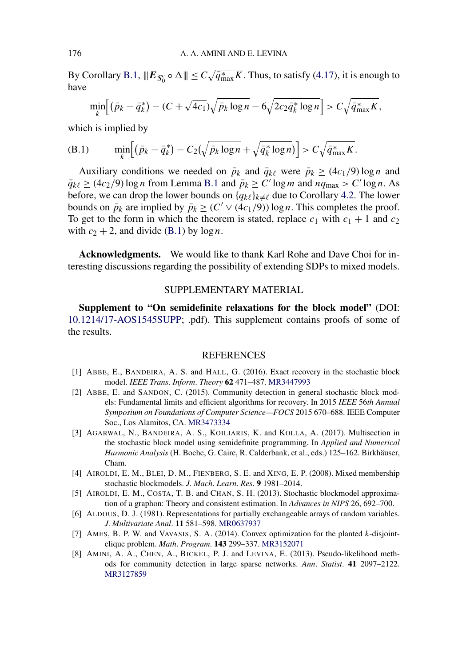<span id="page-27-0"></span>By Corollary [B.1,](#page-26-0)  $||E_{S_0^c} \circ \Delta|| \leq C \sqrt{\bar{q}^*_{\text{max}}} K$ . Thus, to satisfy [\(4.17\)](#page-16-0), it is enough to have

$$
\min_{k} \Big[ \left( \bar{p}_k - \bar{q}_k^* \right) - \left( C + \sqrt{4c_1} \right) \sqrt{\bar{p}_k \log n} - 6 \sqrt{2c_2 \bar{q}_k^* \log n} \Big] > C \sqrt{\bar{q}_{\max}^* K},
$$

which is implied by

(B.1) 
$$
\min_{k} \left[ (\bar{p}_k - \bar{q}_k^*) - C_2(\sqrt{\bar{p}_k \log n} + \sqrt{\bar{q}_k^* \log n}) \right] > C \sqrt{\bar{q}_{\max}^* K}.
$$

Auxiliary conditions we needed on  $\bar{p}_k$  and  $\bar{q}_{k\ell}$  were  $\bar{p}_k \geq (4c_1/9) \log n$  and  $\bar{q}_{k\ell} \geq (4c_2/9) \log n$  from Lemma [B.1](#page-25-0) and  $\bar{p}_k \geq C' \log m$  and  $nq_{\max} > C' \log n$ . As before, we can drop the lower bounds on  ${q_{k\ell}}_{k\neq\ell}$  due to Corollary [4.2.](#page-14-0) The lower bounds on  $\bar{p}_k$  are implied by  $\bar{p}_k \geq (C' \vee (4c_1/9)) \log n$ . This completes the proof. To get to the form in which the theorem is stated, replace  $c_1$  with  $c_1 + 1$  and  $c_2$ with  $c_2 + 2$ , and divide (B.1) by  $\log n$ .

**Acknowledgments.** We would like to thank Karl Rohe and Dave Choi for interesting discussions regarding the possibility of extending SDPs to mixed models.

# SUPPLEMENTARY MATERIAL

**Supplement to "On semidefinite relaxations for the block model"** (DOI: [10.1214/17-AOS1545SUPP](https://doi.org/10.1214/17-AOS1545SUPP); .pdf). This supplement contains proofs of some of the results.

#### **REFERENCES**

- [1] ABBE, E., BANDEIRA, A. S. and HALL, G. (2016). Exact recovery in the stochastic block model. *IEEE Trans*. *Inform*. *Theory* **62** 471–487. [MR3447993](http://www.ams.org/mathscinet-getitem?mr=3447993)
- [2] ABBE, E. and SANDON, C. (2015). Community detection in general stochastic block models: Fundamental limits and efficient algorithms for recovery. In 2015 *IEEE* 56*th Annual Symposium on Foundations of Computer Science—FOCS* 2015 670–688. IEEE Computer Soc., Los Alamitos, CA. [MR3473334](http://www.ams.org/mathscinet-getitem?mr=3473334)
- [3] AGARWAL, N., BANDEIRA, A. S., KOILIARIS, K. and KOLLA, A. (2017). Multisection in the stochastic block model using semidefinite programming. In *Applied and Numerical Harmonic Analysis* (H. Boche, G. Caire, R. Calderbank, et al., eds.) 125–162. Birkhäuser, Cham.
- [4] AIROLDI, E. M., BLEI, D. M., FIENBERG, S. E. and XING, E. P. (2008). Mixed membership stochastic blockmodels. *J*. *Mach*. *Learn*. *Res*. **9** 1981–2014.
- [5] AIROLDI, E. M., COSTA, T. B. and CHAN, S. H. (2013). Stochastic blockmodel approximation of a graphon: Theory and consistent estimation. In *Advances in NIPS* 26, 692–700.
- [6] ALDOUS, D. J. (1981). Representations for partially exchangeable arrays of random variables. *J*. *Multivariate Anal*. **11** 581–598. [MR0637937](http://www.ams.org/mathscinet-getitem?mr=0637937)
- [7] AMES, B. P. W. and VAVASIS, S. A. (2014). Convex optimization for the planted *k*-disjointclique problem. *Math*. *Program*. **143** 299–337. [MR3152071](http://www.ams.org/mathscinet-getitem?mr=3152071)
- [8] AMINI, A. A., CHEN, A., BICKEL, P. J. and LEVINA, E. (2013). Pseudo-likelihood methods for community detection in large sparse networks. *Ann*. *Statist*. **41** 2097–2122. [MR3127859](http://www.ams.org/mathscinet-getitem?mr=3127859)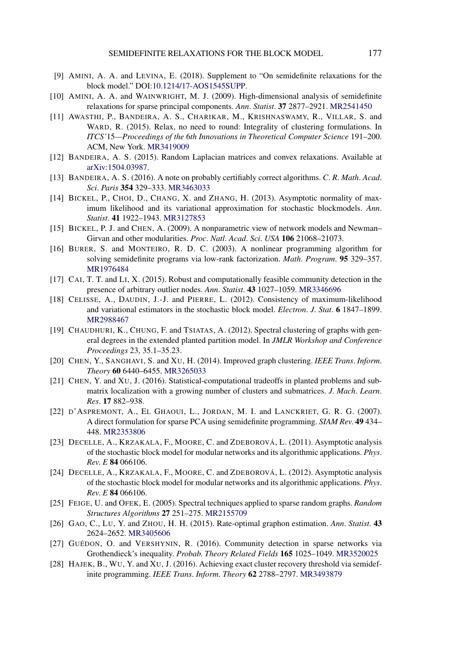- <span id="page-28-0"></span>[9] AMINI, A. A. and LEVINA, E. (2018). Supplement to "On semidefinite relaxations for the block model." DOI[:10.1214/17-AOS1545SUPP](https://doi.org/10.1214/17-AOS1545SUPP).
- [10] AMINI, A. A. and WAINWRIGHT, M. J. (2009). High-dimensional analysis of semidefinite relaxations for sparse principal components. *Ann*. *Statist*. **37** 2877–2921. [MR2541450](http://www.ams.org/mathscinet-getitem?mr=2541450)
- [11] AWASTHI, P., BANDEIRA, A. S., CHARIKAR, M., KRISHNASWAMY, R., VILLAR, S. and WARD, R. (2015). Relax, no need to round: Integrality of clustering formulations. In *ITCS'*15*—Proceedings of the* 6*th Innovations in Theoretical Computer Science* 191–200. ACM, New York. [MR3419009](http://www.ams.org/mathscinet-getitem?mr=3419009)
- [12] BANDEIRA, A. S. (2015). Random Laplacian matrices and convex relaxations. Available at [arXiv:1504.03987](http://arxiv.org/abs/arXiv:1504.03987).
- [13] BANDEIRA, A. S. (2016). A note on probably certifiably correct algorithms. *C*. *R*. *Math*. *Acad*. *Sci*. *Paris* **354** 329–333. [MR3463033](http://www.ams.org/mathscinet-getitem?mr=3463033)
- [14] BICKEL, P., CHOI, D., CHANG, X. and ZHANG, H. (2013). Asymptotic normality of maximum likelihood and its variational approximation for stochastic blockmodels. *Ann*. *Statist*. **41** 1922–1943. [MR3127853](http://www.ams.org/mathscinet-getitem?mr=3127853)
- [15] BICKEL, P. J. and CHEN, A. (2009). A nonparametric view of network models and Newman– Girvan and other modularities. *Proc*. *Natl*. *Acad*. *Sci*. *USA* **106** 21068–21073.
- [16] BURER, S. and MONTEIRO, R. D. C. (2003). A nonlinear programming algorithm for solving semidefinite programs via low-rank factorization. *Math*. *Program*. **95** 329–357. [MR1976484](http://www.ams.org/mathscinet-getitem?mr=1976484)
- [17] CAI, T. T. and LI, X. (2015). Robust and computationally feasible community detection in the presence of arbitrary outlier nodes. *Ann*. *Statist*. **43** 1027–1059. [MR3346696](http://www.ams.org/mathscinet-getitem?mr=3346696)
- [18] CELISSE, A., DAUDIN, J.-J. and PIERRE, L. (2012). Consistency of maximum-likelihood and variational estimators in the stochastic block model. *Electron*. *J*. *Stat*. **6** 1847–1899. [MR2988467](http://www.ams.org/mathscinet-getitem?mr=2988467)
- [19] CHAUDHURI, K., CHUNG, F. and TSIATAS, A. (2012). Spectral clustering of graphs with general degrees in the extended planted partition model. In *JMLR Workshop and Conference Proceedings* 23, 35.1–35.23.
- [20] CHEN, Y., SANGHAVI, S. and XU, H. (2014). Improved graph clustering. *IEEE Trans*. *Inform*. *Theory* **60** 6440–6455. [MR3265033](http://www.ams.org/mathscinet-getitem?mr=3265033)
- [21] CHEN, Y. and XU, J. (2016). Statistical-computational tradeoffs in planted problems and submatrix localization with a growing number of clusters and submatrices. *J*. *Mach*. *Learn*. *Res*. **17** 882–938.
- [22] D'ASPREMONT, A., EL GHAOUI, L., JORDAN, M. I. and LANCKRIET, G. R. G. (2007). A direct formulation for sparse PCA using semidefinite programming. *SIAM Rev*. **49** 434– 448. [MR2353806](http://www.ams.org/mathscinet-getitem?mr=2353806)
- [23] DECELLE, A., KRZAKALA, F., MOORE, C. and ZDEBOROVÁ, L. (2011). Asymptotic analysis of the stochastic block model for modular networks and its algorithmic applications. *Phys*. *Rev*. *E* **84** 066106.
- [24] DECELLE, A., KRZAKALA, F., MOORE, C. and ZDEBOROVÁ, L. (2012). Asymptotic analysis of the stochastic block model for modular networks and its algorithmic applications. *Phys*. *Rev*. *E* **84** 066106.
- [25] FEIGE, U. and OFEK, E. (2005). Spectral techniques applied to sparse random graphs. *Random Structures Algorithms* **27** 251–275. [MR2155709](http://www.ams.org/mathscinet-getitem?mr=2155709)
- [26] GAO, C., LU, Y. and ZHOU, H. H. (2015). Rate-optimal graphon estimation. *Ann*. *Statist*. **43** 2624–2652. [MR3405606](http://www.ams.org/mathscinet-getitem?mr=3405606)
- [27] GUÉDON, O. and VERSHYNIN, R. (2016). Community detection in sparse networks via Grothendieck's inequality. *Probab*. *Theory Related Fields* **165** 1025–1049. [MR3520025](http://www.ams.org/mathscinet-getitem?mr=3520025)
- [28] HAJEK, B., WU, Y. and XU, J. (2016). Achieving exact cluster recovery threshold via semidefinite programming. *IEEE Trans*. *Inform*. *Theory* **62** 2788–2797. [MR3493879](http://www.ams.org/mathscinet-getitem?mr=3493879)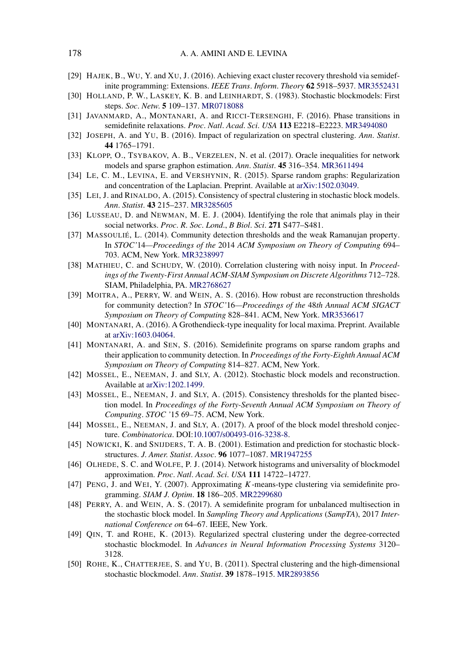- <span id="page-29-0"></span>[29] HAJEK, B., WU, Y. and XU, J. (2016). Achieving exact cluster recovery threshold via semidefinite programming: Extensions. *IEEE Trans*. *Inform*. *Theory* **62** 5918–5937. [MR3552431](http://www.ams.org/mathscinet-getitem?mr=3552431)
- [30] HOLLAND, P. W., LASKEY, K. B. and LEINHARDT, S. (1983). Stochastic blockmodels: First steps. *Soc*. *Netw*. **5** 109–137. [MR0718088](http://www.ams.org/mathscinet-getitem?mr=0718088)
- [31] JAVANMARD, A., MONTANARI, A. and RICCI-TERSENGHI, F. (2016). Phase transitions in semidefinite relaxations. *Proc*. *Natl*. *Acad*. *Sci*. *USA* **113** E2218–E2223. [MR3494080](http://www.ams.org/mathscinet-getitem?mr=3494080)
- [32] JOSEPH, A. and YU, B. (2016). Impact of regularization on spectral clustering. *Ann*. *Statist*. **44** 1765–1791.
- [33] KLOPP, O., TSYBAKOV, A. B., VERZELEN, N. et al. (2017). Oracle inequalities for network models and sparse graphon estimation. *Ann*. *Statist*. **45** 316–354. [MR3611494](http://www.ams.org/mathscinet-getitem?mr=3611494)
- [34] LE, C. M., LEVINA, E. and VERSHYNIN, R. (2015). Sparse random graphs: Regularization and concentration of the Laplacian. Preprint. Available at [arXiv:1502.03049.](http://arxiv.org/abs/arXiv:1502.03049)
- [35] LEI, J. and RINALDO, A. (2015). Consistency of spectral clustering in stochastic block models. *Ann*. *Statist*. **43** 215–237. [MR3285605](http://www.ams.org/mathscinet-getitem?mr=3285605)
- [36] LUSSEAU, D. and NEWMAN, M. E. J. (2004). Identifying the role that animals play in their social networks. *Proc*. *R*. *Soc*. *Lond*., *B Biol*. *Sci*. **271** S477–S481.
- [37] MASSOULIÉ, L. (2014). Community detection thresholds and the weak Ramanujan property. In *STOC'*14*—Proceedings of the* 2014 *ACM Symposium on Theory of Computing* 694– 703. ACM, New York. [MR3238997](http://www.ams.org/mathscinet-getitem?mr=3238997)
- [38] MATHIEU, C. and SCHUDY, W. (2010). Correlation clustering with noisy input. In *Proceedings of the Twenty-First Annual ACM-SIAM Symposium on Discrete Algorithms* 712–728. SIAM, Philadelphia, PA. [MR2768627](http://www.ams.org/mathscinet-getitem?mr=2768627)
- [39] MOITRA, A., PERRY, W. and WEIN, A. S. (2016). How robust are reconstruction thresholds for community detection? In *STOC'*16*—Proceedings of the* 48*th Annual ACM SIGACT Symposium on Theory of Computing* 828–841. ACM, New York. [MR3536617](http://www.ams.org/mathscinet-getitem?mr=3536617)
- [40] MONTANARI, A. (2016). A Grothendieck-type inequality for local maxima. Preprint. Available at [arXiv:1603.04064](http://arxiv.org/abs/arXiv:1603.04064).
- [41] MONTANARI, A. and SEN, S. (2016). Semidefinite programs on sparse random graphs and their application to community detection. In *Proceedings of the Forty-Eighth Annual ACM Symposium on Theory of Computing* 814–827. ACM, New York.
- [42] MOSSEL, E., NEEMAN, J. and SLY, A. (2012). Stochastic block models and reconstruction. Available at [arXiv:1202.1499.](http://arxiv.org/abs/arXiv:1202.1499)
- [43] MOSSEL, E., NEEMAN, J. and SLY, A. (2015). Consistency thresholds for the planted bisection model. In *Proceedings of the Forty-Seventh Annual ACM Symposium on Theory of Computing*. *STOC '*15 69–75. ACM, New York.
- [44] MOSSEL, E., NEEMAN, J. and SLY, A. (2017). A proof of the block model threshold conjecture. *Combinatorica*. DOI[:10.1007/s00493-016-3238-8](https://doi.org/10.1007/s00493-016-3238-8).
- [45] NOWICKI, K. and SNIJDERS, T. A. B. (2001). Estimation and prediction for stochastic blockstructures. *J*. *Amer*. *Statist*. *Assoc*. **96** 1077–1087. [MR1947255](http://www.ams.org/mathscinet-getitem?mr=1947255)
- [46] OLHEDE, S. C. and WOLFE, P. J. (2014). Network histograms and universality of blockmodel approximation. *Proc*. *Natl*. *Acad*. *Sci*. *USA* **111** 14722–14727.
- [47] PENG, J. and WEI, Y. (2007). Approximating *K*-means-type clustering via semidefinite programming. *SIAM J*. *Optim*. **18** 186–205. [MR2299680](http://www.ams.org/mathscinet-getitem?mr=2299680)
- [48] PERRY, A. and WEIN, A. S. (2017). A semidefinite program for unbalanced multisection in the stochastic block model. In *Sampling Theory and Applications* (*SampTA*), 2017 *International Conference on* 64–67. IEEE, New York.
- [49] QIN, T. and ROHE, K. (2013). Regularized spectral clustering under the degree-corrected stochastic blockmodel. In *Advances in Neural Information Processing Systems* 3120– 3128.
- [50] ROHE, K., CHATTERJEE, S. and YU, B. (2011). Spectral clustering and the high-dimensional stochastic blockmodel. *Ann*. *Statist*. **39** 1878–1915. [MR2893856](http://www.ams.org/mathscinet-getitem?mr=2893856)